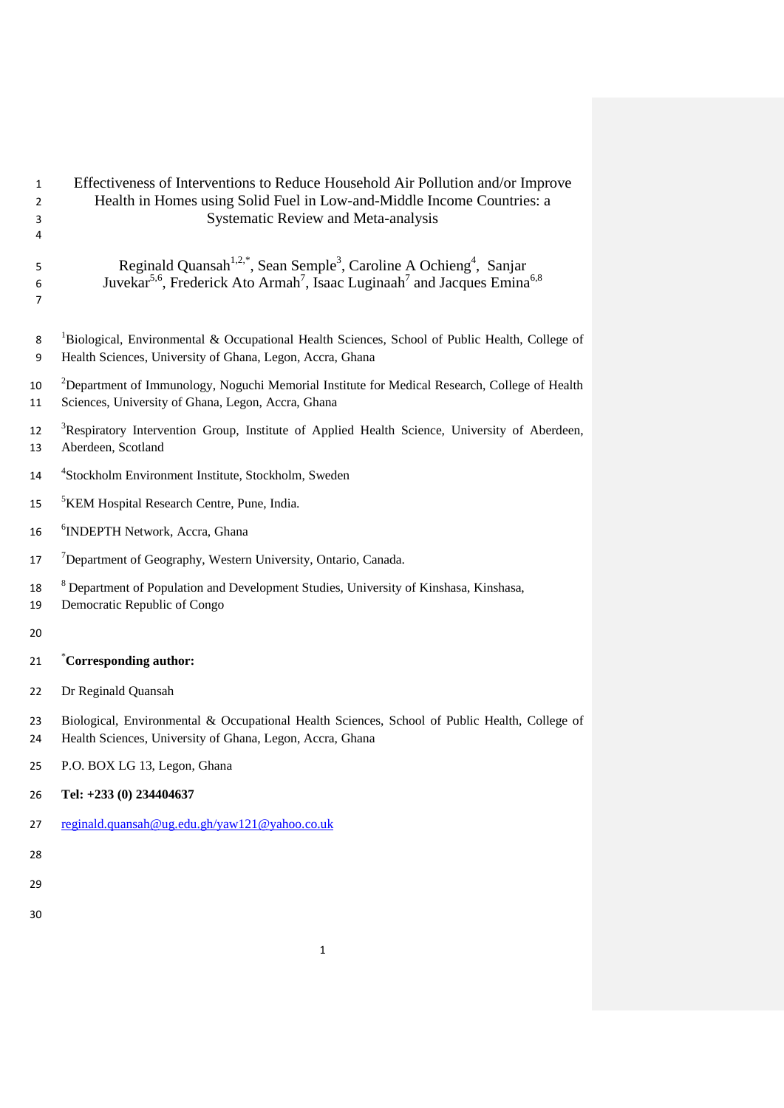| $\mathbf{1}$<br>2<br>3<br>4 | Effectiveness of Interventions to Reduce Household Air Pollution and/or Improve<br>Health in Homes using Solid Fuel in Low-and-Middle Income Countries: a<br><b>Systematic Review and Meta-analysis</b>                             |
|-----------------------------|-------------------------------------------------------------------------------------------------------------------------------------------------------------------------------------------------------------------------------------|
| 5<br>6<br>7                 | Reginald Quansah <sup>1,2,*</sup> , Sean Semple <sup>3</sup> , Caroline A Ochieng <sup>4</sup> , Sanjar<br>Juvekar <sup>5,6</sup> , Frederick Ato Armah <sup>7</sup> , Isaac Luginaah <sup>7</sup> and Jacques Emina <sup>6,8</sup> |
| 8<br>9                      | ${}^{1}$ Biological, Environmental & Occupational Health Sciences, School of Public Health, College of<br>Health Sciences, University of Ghana, Legon, Accra, Ghana                                                                 |
| 10<br>11                    | <sup>2</sup> Department of Immunology, Noguchi Memorial Institute for Medical Research, College of Health<br>Sciences, University of Ghana, Legon, Accra, Ghana                                                                     |
| 12<br>13                    | <sup>3</sup> Respiratory Intervention Group, Institute of Applied Health Science, University of Aberdeen,<br>Aberdeen, Scotland                                                                                                     |
| 14                          | <sup>4</sup> Stockholm Environment Institute, Stockholm, Sweden                                                                                                                                                                     |
| 15                          | <sup>5</sup> KEM Hospital Research Centre, Pune, India.                                                                                                                                                                             |
| 16                          | <sup>6</sup> INDEPTH Network, Accra, Ghana                                                                                                                                                                                          |
| 17                          | <sup>7</sup> Department of Geography, Western University, Ontario, Canada.                                                                                                                                                          |
| 18<br>19                    | <sup>8</sup> Department of Population and Development Studies, University of Kinshasa, Kinshasa,<br>Democratic Republic of Congo                                                                                                    |
| 20                          |                                                                                                                                                                                                                                     |
| 21                          | Corresponding author:                                                                                                                                                                                                               |
| 22                          | Dr Reginald Quansah                                                                                                                                                                                                                 |
| 23<br>24                    | Biological, Environmental & Occupational Health Sciences, School of Public Health, College of<br>Health Sciences, University of Ghana, Legon, Accra, Ghana                                                                          |
| 25                          | P.O. BOX LG 13, Legon, Ghana                                                                                                                                                                                                        |
| 26                          | Tel: +233 (0) 234404637                                                                                                                                                                                                             |
| 27                          | reginald.quansah@ug.edu.gh/yaw121@yahoo.co.uk                                                                                                                                                                                       |
| 28                          |                                                                                                                                                                                                                                     |
| 29                          |                                                                                                                                                                                                                                     |
| 30                          |                                                                                                                                                                                                                                     |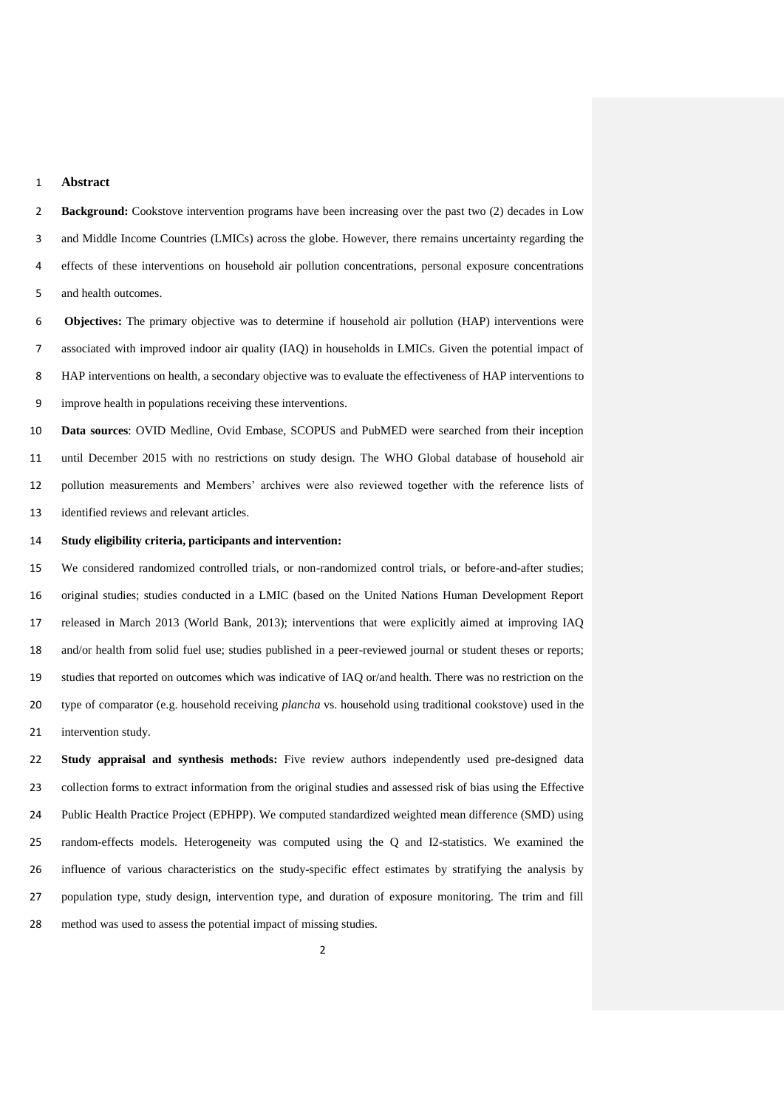## **Abstract**

**Background:** Cookstove intervention programs have been increasing over the past two (2) decades in Low and Middle Income Countries (LMICs) across the globe. However, there remains uncertainty regarding the effects of these interventions on household air pollution concentrations, personal exposure concentrations and health outcomes.

 **Objectives:** The primary objective was to determine if household air pollution (HAP) interventions were associated with improved indoor air quality (IAQ) in households in LMICs. Given the potential impact of HAP interventions on health, a secondary objective was to evaluate the effectiveness of HAP interventions to improve health in populations receiving these interventions.

 **Data sources**: OVID Medline, Ovid Embase, SCOPUS and PubMED were searched from their inception until December 2015 with no restrictions on study design. The WHO Global database of household air pollution measurements and Members' archives were also reviewed together with the reference lists of identified reviews and relevant articles.

#### **Study eligibility criteria, participants and intervention:**

 We considered randomized controlled trials, or non-randomized control trials, or before-and-after studies; original studies; studies conducted in a LMIC (based on the United Nations Human Development Report released in March 2013 (World Bank, 2013); interventions that were explicitly aimed at improving IAQ and/or health from solid fuel use; studies published in a peer-reviewed journal or student theses or reports; studies that reported on outcomes which was indicative of IAQ or/and health. There was no restriction on the type of comparator (e.g. household receiving *plancha* vs. household using traditional cookstove) used in the intervention study.

 **Study appraisal and synthesis methods:** Five review authors independently used pre-designed data collection forms to extract information from the original studies and assessed risk of bias using the Effective Public Health Practice Project (EPHPP). We computed standardized weighted mean difference (SMD) using random-effects models. Heterogeneity was computed using the Q and I2-statistics. We examined the influence of various characteristics on the study-specific effect estimates by stratifying the analysis by population type, study design, intervention type, and duration of exposure monitoring. The trim and fill method was used to assess the potential impact of missing studies.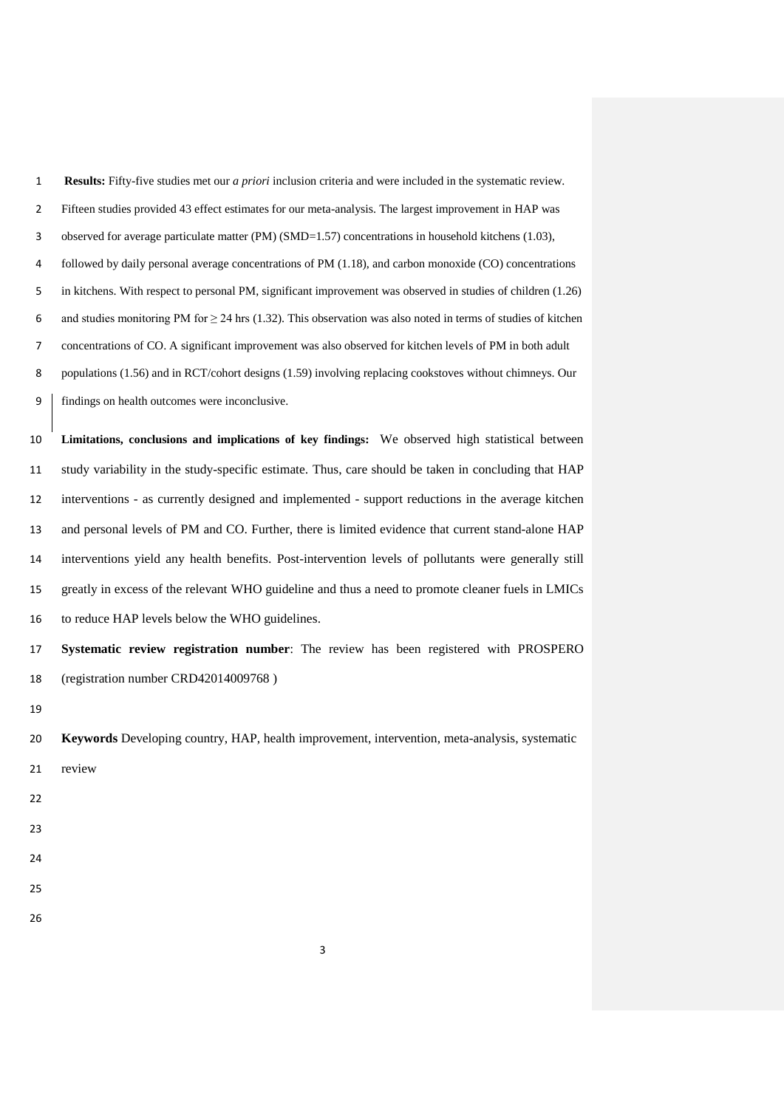| $\mathbf{1}$   | <b>Results:</b> Fifty-five studies met our <i>a priori</i> inclusion criteria and were included in the systematic review. |
|----------------|---------------------------------------------------------------------------------------------------------------------------|
| $\overline{2}$ | Fifteen studies provided 43 effect estimates for our meta-analysis. The largest improvement in HAP was                    |
| 3              | observed for average particulate matter (PM) (SMD=1.57) concentrations in household kitchens (1.03),                      |
| 4              | followed by daily personal average concentrations of PM (1.18), and carbon monoxide (CO) concentrations                   |
| 5              | in kitchens. With respect to personal PM, significant improvement was observed in studies of children (1.26)              |
| 6              | and studies monitoring PM for $\geq$ 24 hrs (1.32). This observation was also noted in terms of studies of kitchen        |
| $\overline{7}$ | concentrations of CO. A significant improvement was also observed for kitchen levels of PM in both adult                  |
| 8              | populations (1.56) and in RCT/cohort designs (1.59) involving replacing cookstoves without chimneys. Our                  |
| 9              | findings on health outcomes were inconclusive.                                                                            |
| 10             | Limitations, conclusions and implications of key findings: We observed high statistical between                           |
| 11             | study variability in the study-specific estimate. Thus, care should be taken in concluding that HAP                       |
| 12             | interventions - as currently designed and implemented - support reductions in the average kitchen                         |
| 13             | and personal levels of PM and CO. Further, there is limited evidence that current stand-alone HAP                         |
| 14             | interventions yield any health benefits. Post-intervention levels of pollutants were generally still                      |
| 15             | greatly in excess of the relevant WHO guideline and thus a need to promote cleaner fuels in LMICs                         |
| 16             | to reduce HAP levels below the WHO guidelines.                                                                            |
| 17             | Systematic review registration number: The review has been registered with PROSPERO                                       |
| 18             | (registration number CRD42014009768)                                                                                      |
| 19             |                                                                                                                           |
| 20             | Keywords Developing country, HAP, health improvement, intervention, meta-analysis, systematic                             |
| 21             | review                                                                                                                    |
| 22             |                                                                                                                           |
| 23             |                                                                                                                           |
| 24             |                                                                                                                           |
| 25             |                                                                                                                           |
| 26             |                                                                                                                           |
|                |                                                                                                                           |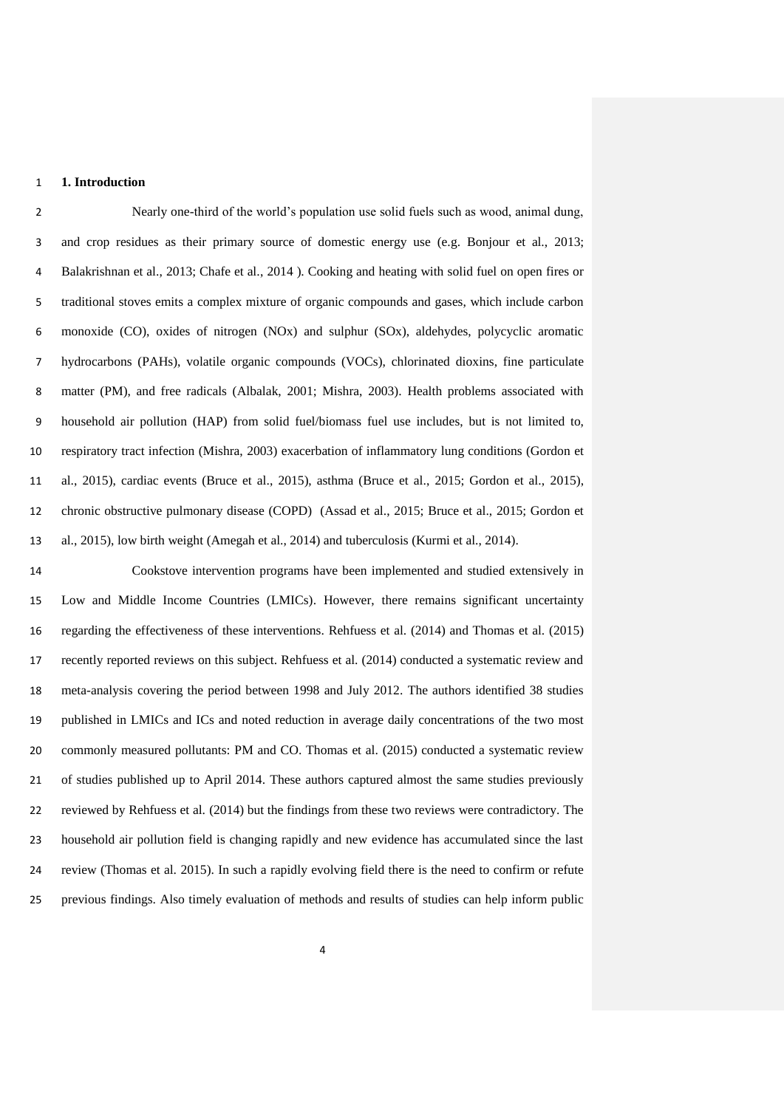## **1. Introduction**

 Nearly one-third of the world's population use solid fuels such as wood, animal dung, and crop residues as their primary source of domestic energy use (e.g. Bonjour et al., 2013; Balakrishnan et al., 2013; Chafe et al., 2014 ). Cooking and heating with solid fuel on open fires or traditional stoves emits a complex mixture of organic compounds and gases, which include carbon monoxide (CO), oxides of nitrogen (NOx) and sulphur (SOx), aldehydes, polycyclic aromatic hydrocarbons (PAHs), volatile organic compounds (VOCs), chlorinated dioxins, fine particulate matter (PM), and free radicals (Albalak, 2001; Mishra, 2003). Health problems associated with household air pollution (HAP) from solid fuel/biomass fuel use includes, but is not limited to, respiratory tract infection (Mishra, 2003) exacerbation of inflammatory lung conditions (Gordon et al., 2015), cardiac events (Bruce et al., 2015), asthma (Bruce et al., 2015; Gordon et al., 2015), chronic obstructive pulmonary disease (COPD) (Assad et al., 2015; Bruce et al., 2015; Gordon et al., 2015), low birth weight (Amegah et al., 2014) and tuberculosis (Kurmi et al., 2014).

 Cookstove intervention programs have been implemented and studied extensively in Low and Middle Income Countries (LMICs). However, there remains significant uncertainty regarding the effectiveness of these interventions. Rehfuess et al. (2014) and Thomas et al. (2015) recently reported reviews on this subject. Rehfuess et al. (2014) conducted a systematic review and meta-analysis covering the period between 1998 and July 2012. The authors identified 38 studies published in LMICs and ICs and noted reduction in average daily concentrations of the two most commonly measured pollutants: PM and CO. Thomas et al. (2015) conducted a systematic review of studies published up to April 2014. These authors captured almost the same studies previously reviewed by Rehfuess et al. (2014) but the findings from these two reviews were contradictory. The household air pollution field is changing rapidly and new evidence has accumulated since the last review (Thomas et al. 2015). In such a rapidly evolving field there is the need to confirm or refute previous findings. Also timely evaluation of methods and results of studies can help inform public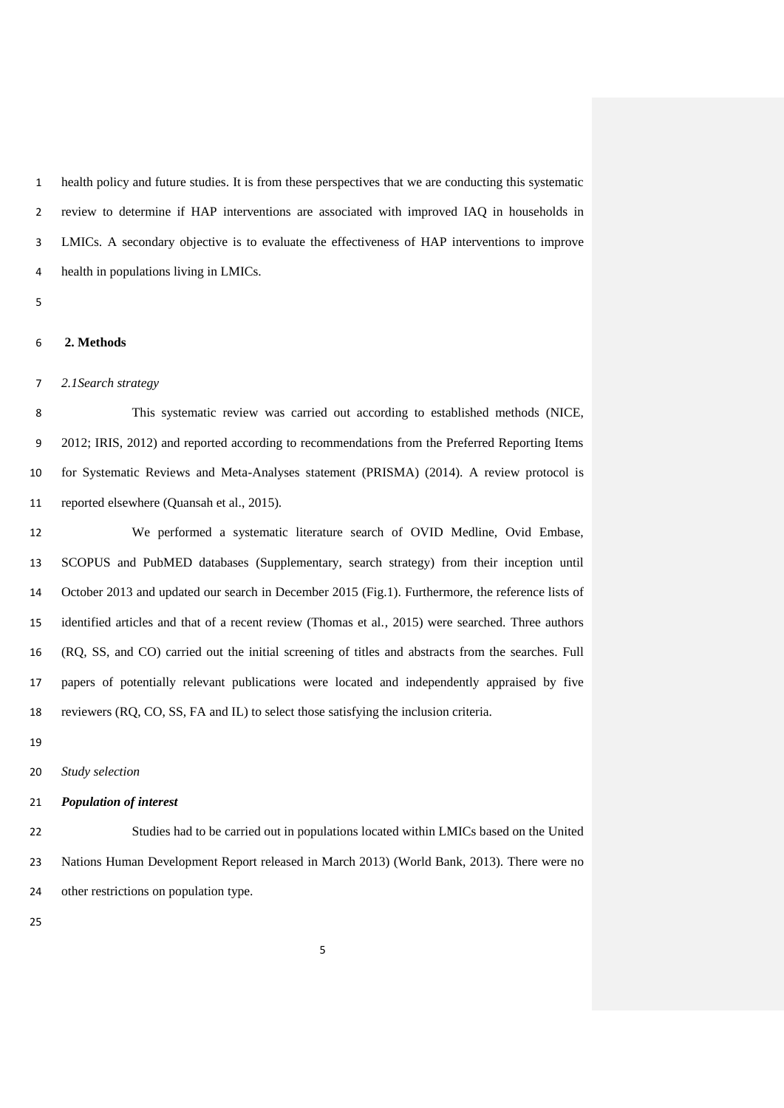health policy and future studies. It is from these perspectives that we are conducting this systematic review to determine if HAP interventions are associated with improved IAQ in households in LMICs. A secondary objective is to evaluate the effectiveness of HAP interventions to improve health in populations living in LMICs.

# **2. Methods**

## *2.1Search strategy*

 This systematic review was carried out according to established methods (NICE, 2012; IRIS, 2012) and reported according to recommendations from the Preferred Reporting Items for Systematic Reviews and Meta-Analyses statement (PRISMA) (2014). A review protocol is reported elsewhere (Quansah et al., 2015).

 We performed a systematic literature search of OVID Medline, Ovid Embase, SCOPUS and PubMED databases (Supplementary, search strategy) from their inception until October 2013 and updated our search in December 2015 (Fig.1). Furthermore, the reference lists of identified articles and that of a recent review (Thomas et al., 2015) were searched. Three authors (RQ, SS, and CO) carried out the initial screening of titles and abstracts from the searches. Full papers of potentially relevant publications were located and independently appraised by five reviewers (RQ, CO, SS, FA and IL) to select those satisfying the inclusion criteria.

## *Study selection*

## *Population of interest*

 Studies had to be carried out in populations located within LMICs based on the United Nations Human Development Report released in March 2013) (World Bank, 2013). There were no other restrictions on population type.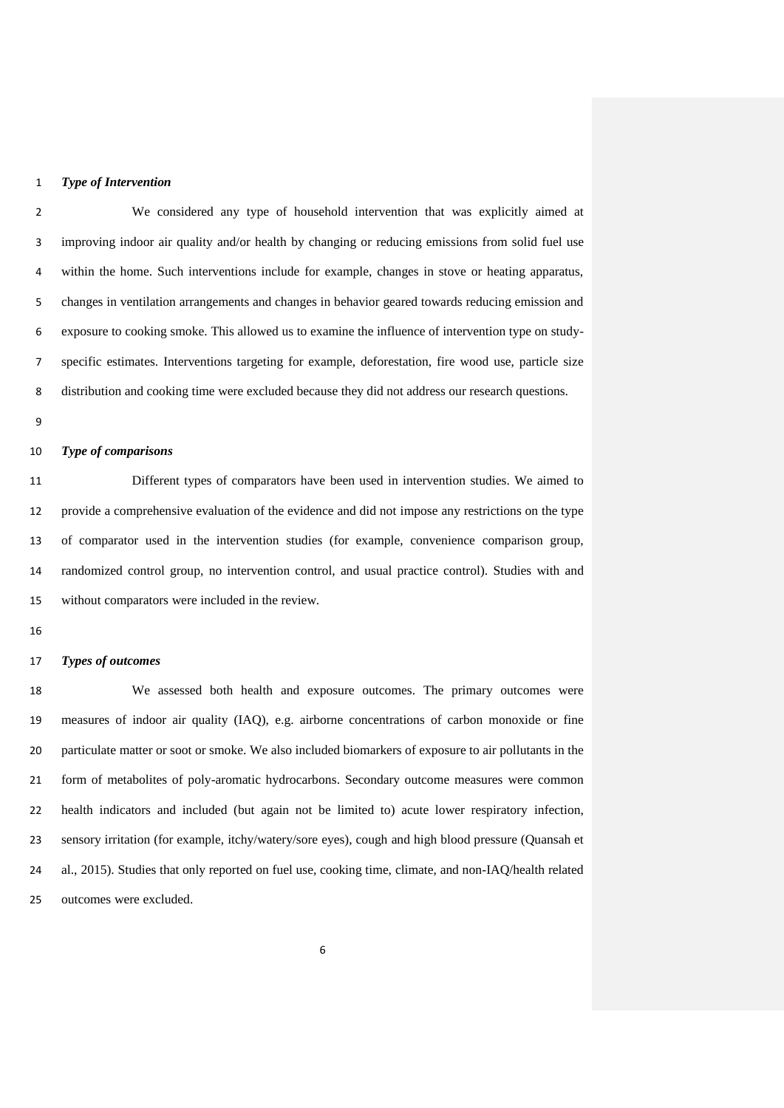## *Type of Intervention*

 We considered any type of household intervention that was explicitly aimed at improving indoor air quality and/or health by changing or reducing emissions from solid fuel use within the home. Such interventions include for example, changes in stove or heating apparatus, changes in ventilation arrangements and changes in behavior geared towards reducing emission and exposure to cooking smoke. This allowed us to examine the influence of intervention type on study- specific estimates. Interventions targeting for example, deforestation, fire wood use, particle size distribution and cooking time were excluded because they did not address our research questions.

## *Type of comparisons*

 Different types of comparators have been used in intervention studies. We aimed to provide a comprehensive evaluation of the evidence and did not impose any restrictions on the type of comparator used in the intervention studies (for example, convenience comparison group, randomized control group, no intervention control, and usual practice control). Studies with and without comparators were included in the review.

#### *Types of outcomes*

 We assessed both health and exposure outcomes. The primary outcomes were measures of indoor air quality (IAQ), e.g. airborne concentrations of carbon monoxide or fine particulate matter or soot or smoke. We also included biomarkers of exposure to air pollutants in the form of metabolites of poly-aromatic hydrocarbons. Secondary outcome measures were common health indicators and included (but again not be limited to) acute lower respiratory infection, sensory irritation (for example, itchy/watery/sore eyes), cough and high blood pressure (Quansah et al., 2015). Studies that only reported on fuel use, cooking time, climate, and non-IAQ/health related outcomes were excluded.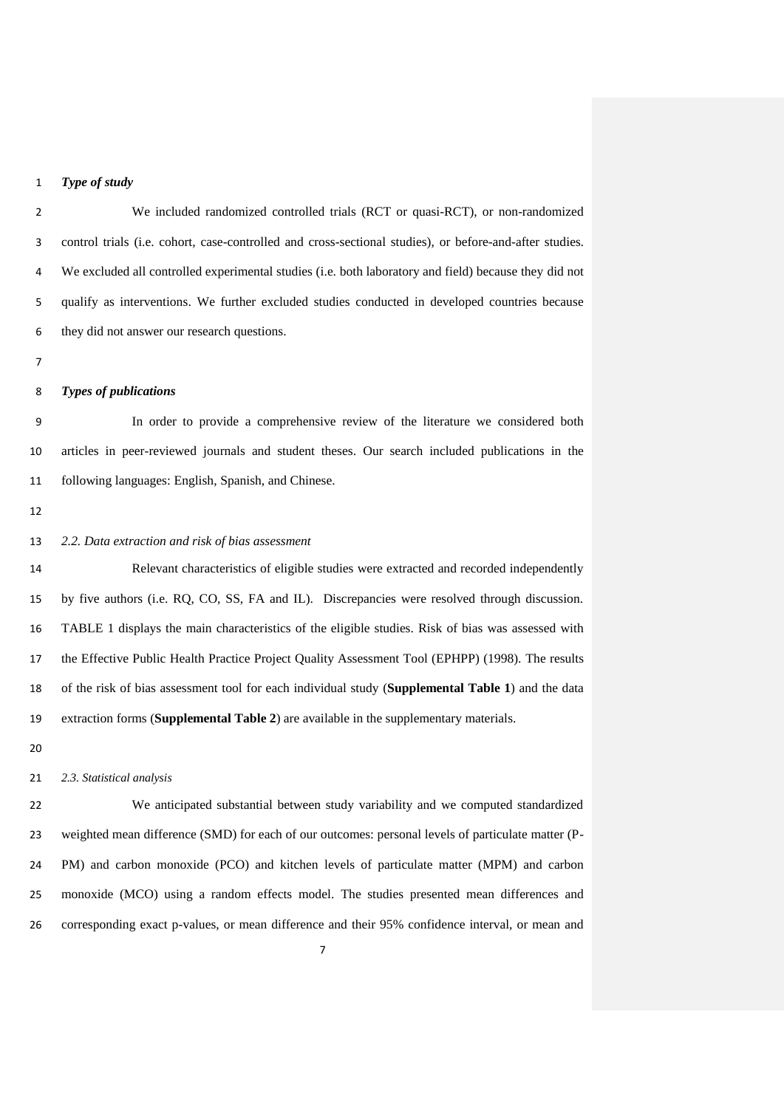## *Type of study*

 We included randomized controlled trials (RCT or quasi-RCT), or non-randomized control trials (i.e. cohort, case-controlled and cross-sectional studies), or before-and-after studies. We excluded all controlled experimental studies (i.e. both laboratory and field) because they did not qualify as interventions. We further excluded studies conducted in developed countries because they did not answer our research questions.

#### *Types of publications*

 In order to provide a comprehensive review of the literature we considered both articles in peer-reviewed journals and student theses. Our search included publications in the following languages: English, Spanish, and Chinese.

## *2.2. Data extraction and risk of bias assessment*

 Relevant characteristics of eligible studies were extracted and recorded independently by five authors (i.e. RQ, CO, SS, FA and IL). Discrepancies were resolved through discussion. TABLE 1 displays the main characteristics of the eligible studies. Risk of bias was assessed with the Effective Public Health Practice Project Quality Assessment Tool (EPHPP) (1998). The results of the risk of bias assessment tool for each individual study (**Supplemental Table 1**) and the data extraction forms (**Supplemental Table 2**) are available in the supplementary materials.

## *2.3. Statistical analysis*

 We anticipated substantial between study variability and we computed standardized weighted mean difference (SMD) for each of our outcomes: personal levels of particulate matter (P- PM) and carbon monoxide (PCO) and kitchen levels of particulate matter (MPM) and carbon monoxide (MCO) using a random effects model. The studies presented mean differences and corresponding exact p-values, or mean difference and their 95% confidence interval, or mean and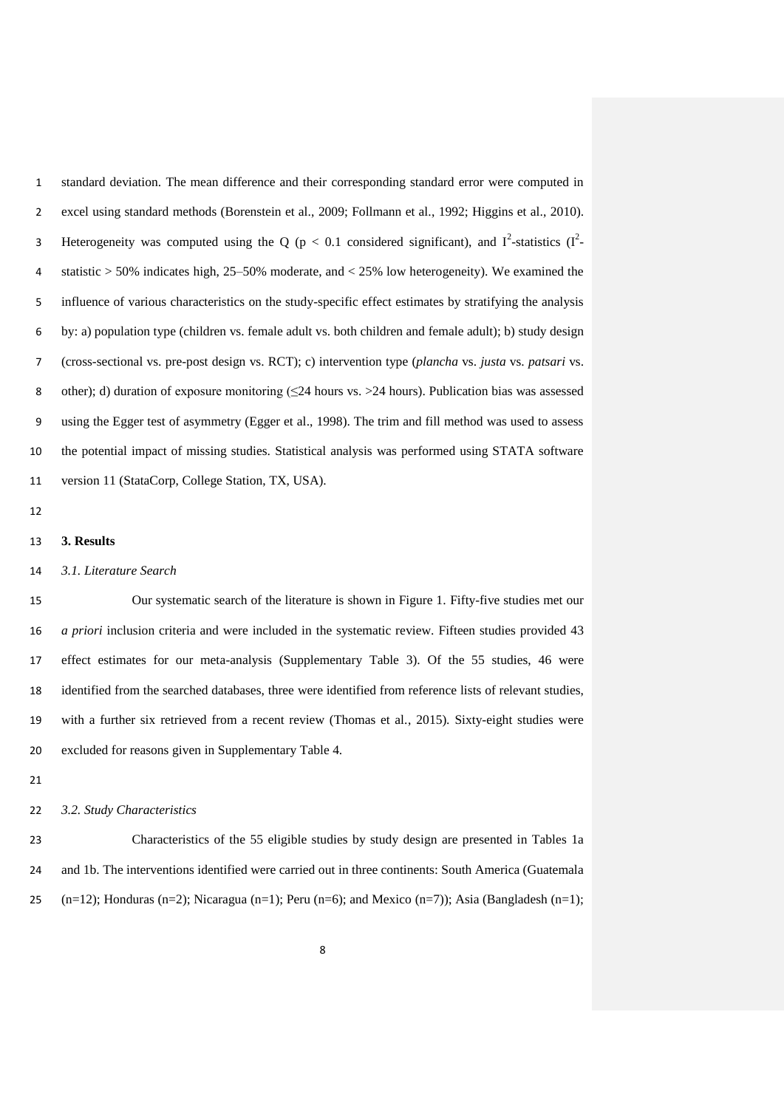standard deviation. The mean difference and their corresponding standard error were computed in excel using standard methods (Borenstein et al., 2009; Follmann et al., 1992; Higgins et al., 2010). 3 Heterogeneity was computed using the Q ( $p < 0.1$  considered significant), and  $I^2$ -statistics ( $I^2$ - statistic > 50% indicates high, 25–50% moderate, and < 25% low heterogeneity). We examined the influence of various characteristics on the study-specific effect estimates by stratifying the analysis by: a) population type (children vs. female adult vs. both children and female adult); b) study design (cross-sectional vs. pre-post design vs. RCT); c) intervention type (*plancha* vs. *justa* vs. *patsari* vs. other); d) duration of exposure monitoring (≤24 hours vs. >24 hours). Publication bias was assessed using the Egger test of asymmetry (Egger et al., 1998). The trim and fill method was used to assess the potential impact of missing studies. Statistical analysis was performed using STATA software version 11 (StataCorp, College Station, TX, USA).

#### **3. Results**

## *3.1. Literature Search*

 Our systematic search of the literature is shown in Figure 1. Fifty-five studies met our *a priori* inclusion criteria and were included in the systematic review. Fifteen studies provided 43 effect estimates for our meta-analysis (Supplementary Table 3). Of the 55 studies, 46 were identified from the searched databases, three were identified from reference lists of relevant studies, with a further six retrieved from a recent review (Thomas et al., 2015). Sixty-eight studies were excluded for reasons given in Supplementary Table 4.

## *3.2. Study Characteristics*

 Characteristics of the 55 eligible studies by study design are presented in Tables 1a and 1b. The interventions identified were carried out in three continents: South America (Guatemala 25 (n=12); Honduras (n=2); Nicaragua (n=1); Peru (n=6); and Mexico (n=7)); Asia (Bangladesh (n=1);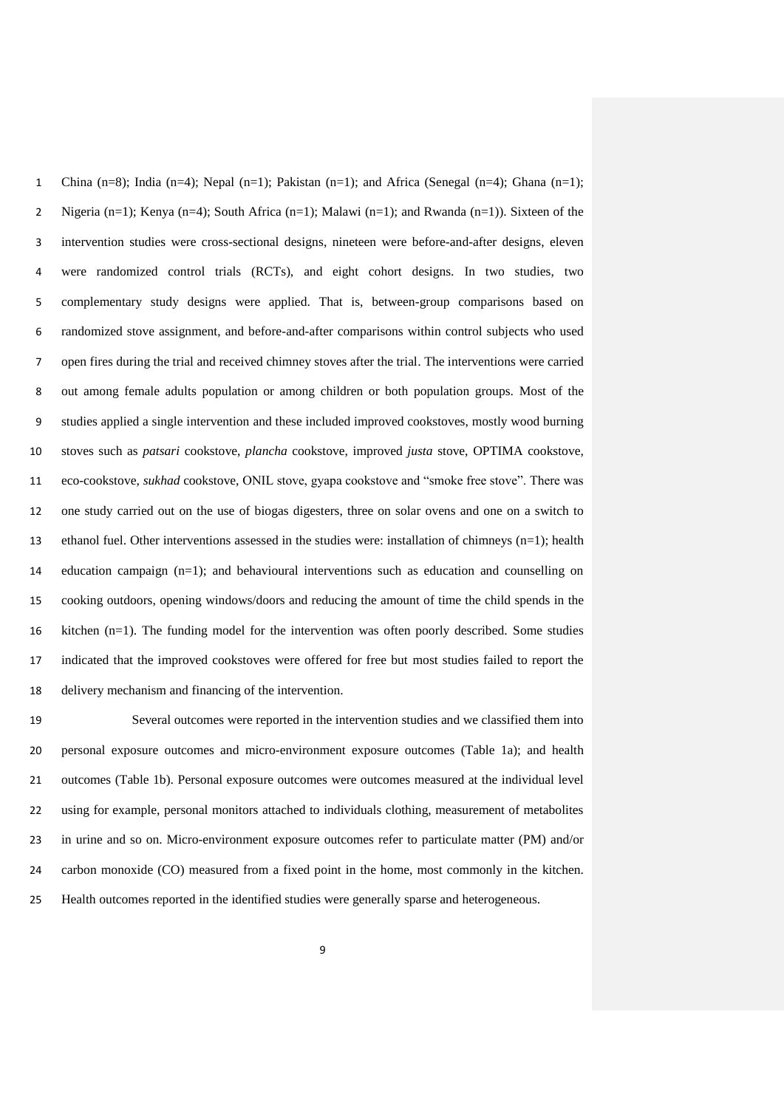1 China (n=8); India (n=4); Nepal (n=1); Pakistan (n=1); and Africa (Senegal (n=4); Ghana (n=1); Nigeria (n=1); Kenya (n=4); South Africa (n=1); Malawi (n=1); and Rwanda (n=1)). Sixteen of the intervention studies were cross-sectional designs, nineteen were before-and-after designs, eleven were randomized control trials (RCTs), and eight cohort designs. In two studies, two complementary study designs were applied. That is, between-group comparisons based on randomized stove assignment, and before-and-after comparisons within control subjects who used open fires during the trial and received chimney stoves after the trial. The interventions were carried out among female adults population or among children or both population groups. Most of the studies applied a single intervention and these included improved cookstoves, mostly wood burning stoves such as *patsari* cookstove, *plancha* cookstove, improved *justa* stove, OPTIMA cookstove, eco-cookstove, *sukhad* cookstove, ONIL stove, gyapa cookstove and "smoke free stove". There was one study carried out on the use of biogas digesters, three on solar ovens and one on a switch to ethanol fuel. Other interventions assessed in the studies were: installation of chimneys (n=1); health education campaign (n=1); and behavioural interventions such as education and counselling on cooking outdoors, opening windows/doors and reducing the amount of time the child spends in the kitchen (n=1). The funding model for the intervention was often poorly described. Some studies indicated that the improved cookstoves were offered for free but most studies failed to report the delivery mechanism and financing of the intervention.

 Several outcomes were reported in the intervention studies and we classified them into personal exposure outcomes and micro-environment exposure outcomes (Table 1a); and health outcomes (Table 1b). Personal exposure outcomes were outcomes measured at the individual level using for example, personal monitors attached to individuals clothing, measurement of metabolites in urine and so on. Micro-environment exposure outcomes refer to particulate matter (PM) and/or carbon monoxide (CO) measured from a fixed point in the home, most commonly in the kitchen. Health outcomes reported in the identified studies were generally sparse and heterogeneous.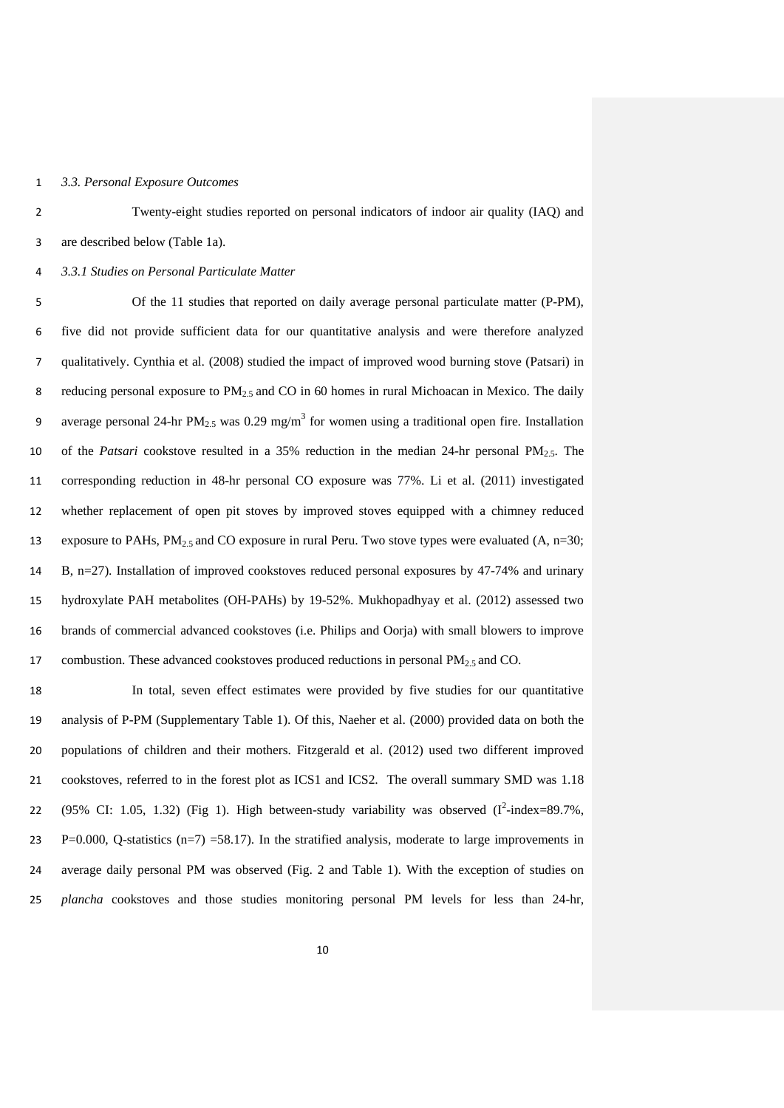## *3.3. Personal Exposure Outcomes*

 Twenty-eight studies reported on personal indicators of indoor air quality (IAQ) and are described below (Table 1a).

*3.3.1 Studies on Personal Particulate Matter* 

 Of the 11 studies that reported on daily average personal particulate matter (P-PM), five did not provide sufficient data for our quantitative analysis and were therefore analyzed qualitatively. Cynthia et al. (2008) studied the impact of improved wood burning stove (Patsari) in 8 reducing personal exposure to  $PM_{2.5}$  and CO in 60 homes in rural Michoacan in Mexico. The daily 9 average personal 24-hr PM<sub>2.5</sub> was 0.29 mg/m<sup>3</sup> for women using a traditional open fire. Installation of the *Patsari* cookstove resulted in a 35% reduction in the median 24-hr personal PM2.5. The corresponding reduction in 48-hr personal CO exposure was 77%. Li et al. (2011) investigated whether replacement of open pit stoves by improved stoves equipped with a chimney reduced 13 exposure to PAHs,  $PM_{2.5}$  and CO exposure in rural Peru. Two stove types were evaluated (A, n=30; B, n=27). Installation of improved cookstoves reduced personal exposures by 47-74% and urinary hydroxylate PAH metabolites (OH-PAHs) by 19-52%. Mukhopadhyay et al. (2012) assessed two brands of commercial advanced cookstoves (i.e. Philips and Oorja) with small blowers to improve 17 combustion. These advanced cookstoves produced reductions in personal  $PM<sub>2.5</sub>$  and CO.

 In total, seven effect estimates were provided by five studies for our quantitative analysis of P-PM (Supplementary Table 1). Of this, Naeher et al. (2000) provided data on both the populations of children and their mothers. Fitzgerald et al. (2012) used two different improved cookstoves, referred to in the forest plot as ICS1 and ICS2. The overall summary SMD was 1.18 22 (95% CI: 1.05, 1.32) (Fig 1). High between-study variability was observed  $(I^2$ -index=89.7%, 23 P=0.000, Q-statistics (n=7) =58.17). In the stratified analysis, moderate to large improvements in average daily personal PM was observed (Fig. 2 and Table 1). With the exception of studies on *plancha* cookstoves and those studies monitoring personal PM levels for less than 24-hr,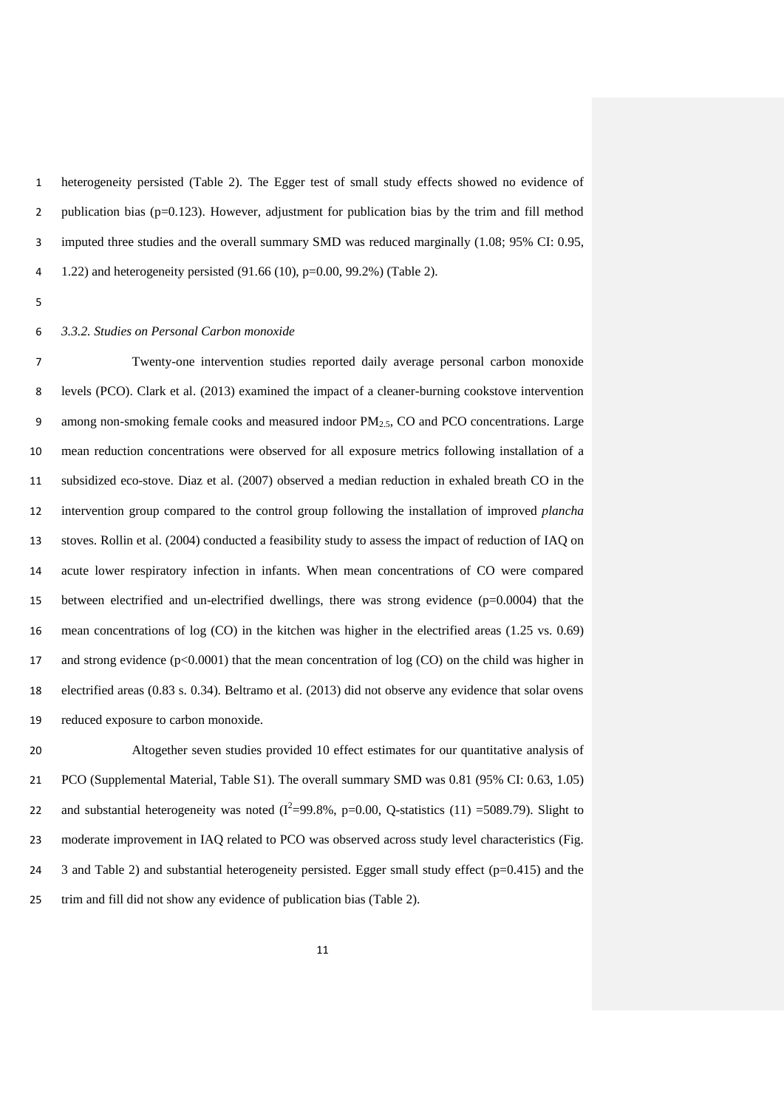heterogeneity persisted (Table 2). The Egger test of small study effects showed no evidence of publication bias (p=0.123). However, adjustment for publication bias by the trim and fill method imputed three studies and the overall summary SMD was reduced marginally (1.08; 95% CI: 0.95, 1.22) and heterogeneity persisted (91.66 (10), p=0.00, 99.2%) (Table 2).

## *3.3.2. Studies on Personal Carbon monoxide*

 Twenty-one intervention studies reported daily average personal carbon monoxide levels (PCO). Clark et al. (2013) examined the impact of a cleaner-burning cookstove intervention 9 among non-smoking female cooks and measured indoor  $PM_{2.5}$ , CO and PCO concentrations. Large mean reduction concentrations were observed for all exposure metrics following installation of a subsidized eco-stove. Diaz et al. (2007) observed a median reduction in exhaled breath CO in the intervention group compared to the control group following the installation of improved *plancha* stoves. Rollin et al. (2004) conducted a feasibility study to assess the impact of reduction of IAQ on acute lower respiratory infection in infants. When mean concentrations of CO were compared between electrified and un-electrified dwellings, there was strong evidence (p=0.0004) that the mean concentrations of log (CO) in the kitchen was higher in the electrified areas (1.25 vs. 0.69) 17 and strong evidence ( $p<0.0001$ ) that the mean concentration of log (CO) on the child was higher in electrified areas (0.83 s. 0.34). Beltramo et al. (2013) did not observe any evidence that solar ovens reduced exposure to carbon monoxide.

 Altogether seven studies provided 10 effect estimates for our quantitative analysis of PCO (Supplemental Material, Table S1). The overall summary SMD was 0.81 (95% CI: 0.63, 1.05) 22 and substantial heterogeneity was noted  $(I^2=99.8\%$ , p=0.00, Q-statistics (11) =5089.79). Slight to moderate improvement in IAQ related to PCO was observed across study level characteristics (Fig. 24 3 and Table 2) and substantial heterogeneity persisted. Egger small study effect (p=0.415) and the trim and fill did not show any evidence of publication bias (Table 2).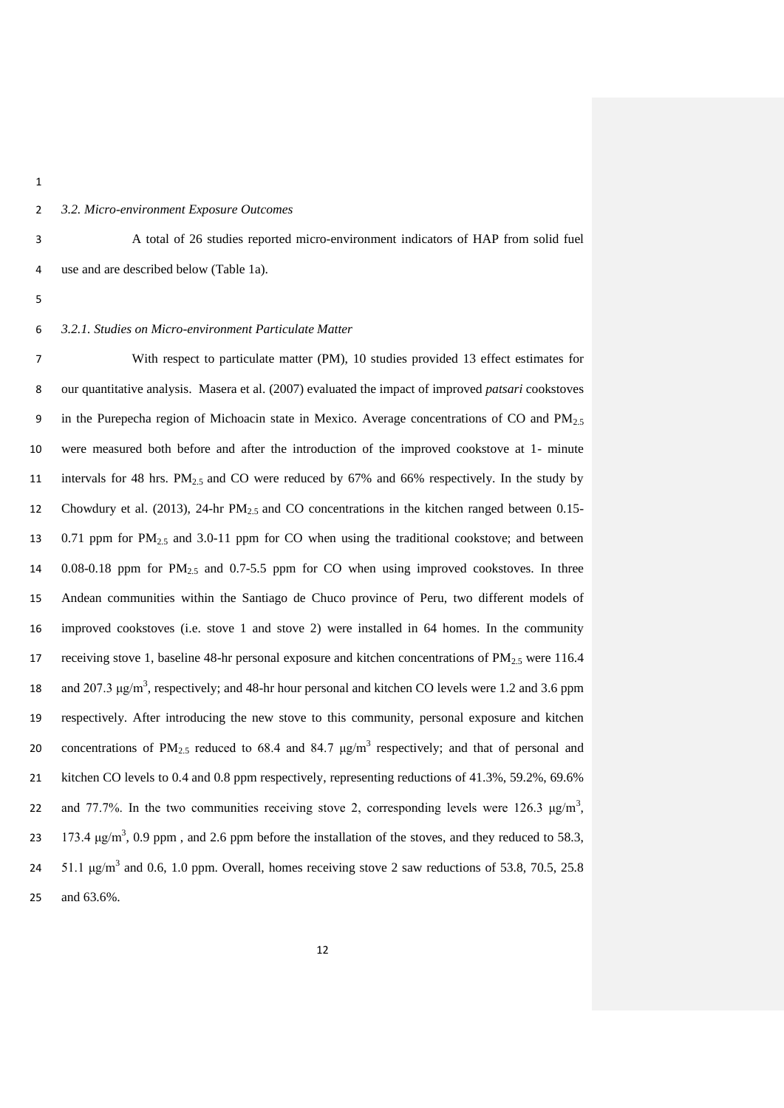# *3.2. Micro-environment Exposure Outcomes*

 A total of 26 studies reported micro-environment indicators of HAP from solid fuel use and are described below (Table 1a).

#### *3.2.1. Studies on Micro-environment Particulate Matter*

 With respect to particulate matter (PM), 10 studies provided 13 effect estimates for our quantitative analysis. Masera et al. (2007) evaluated the impact of improved *patsari* cookstoves 9 in the Purepecha region of Michoacin state in Mexico. Average concentrations of CO and  $PM_{2.5}$  were measured both before and after the introduction of the improved cookstove at 1- minute intervals for 48 hrs. PM2.5 and CO were reduced by 67% and 66% respectively. In the study by Chowdury et al. (2013), 24-hr PM2.5 and CO concentrations in the kitchen ranged between 0.15- 13 0.71 ppm for PM<sub>2.5</sub> and 3.0-11 ppm for CO when using the traditional cookstove; and between 0.08-0.18 ppm for PM2.5 and 0.7-5.5 ppm for CO when using improved cookstoves. In three Andean communities within the Santiago de Chuco province of Peru, two different models of improved cookstoves (i.e. stove 1 and stove 2) were installed in 64 homes. In the community 17 receiving stove 1, baseline 48-hr personal exposure and kitchen concentrations of  $PM_{2.5}$  were 116.4 18 and 207.3  $\mu$ g/m<sup>3</sup>, respectively; and 48-hr hour personal and kitchen CO levels were 1.2 and 3.6 ppm respectively. After introducing the new stove to this community, personal exposure and kitchen 20 concentrations of PM<sub>2.5</sub> reduced to 68.4 and 84.7  $\mu$ g/m<sup>3</sup> respectively; and that of personal and kitchen CO levels to 0.4 and 0.8 ppm respectively, representing reductions of 41.3%, 59.2%, 69.6% 22 and 77.7%. In the two communities receiving stove 2, corresponding levels were 126.3  $\mu g/m^3$ , 23 173.4 μg/m<sup>3</sup>, 0.9 ppm, and 2.6 ppm before the installation of the stoves, and they reduced to 58.3, 24 51.1  $\mu$ g/m<sup>3</sup> and 0.6, 1.0 ppm. Overall, homes receiving stove 2 saw reductions of 53.8, 70.5, 25.8 and 63.6%.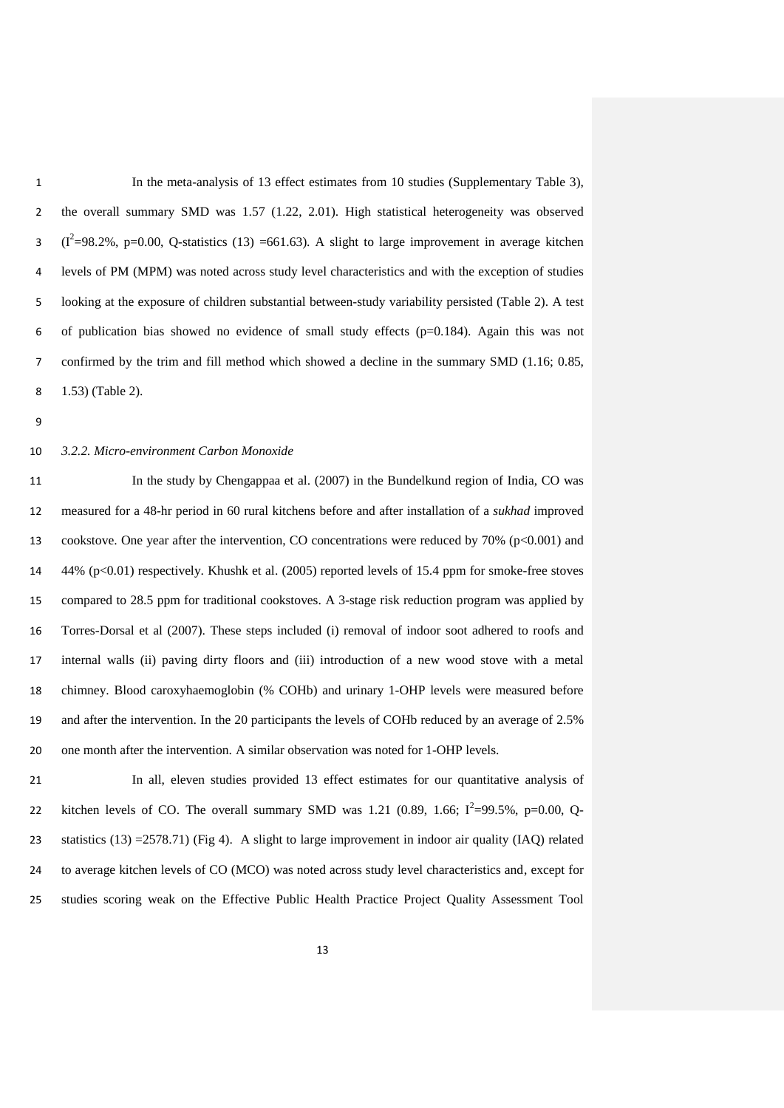In the meta-analysis of 13 effect estimates from 10 studies (Supplementary Table 3), the overall summary SMD was 1.57 (1.22, 2.01). High statistical heterogeneity was observed (I<sup>2</sup>=98.2%, p=0.00, Q-statistics (13) =661.63). A slight to large improvement in average kitchen levels of PM (MPM) was noted across study level characteristics and with the exception of studies looking at the exposure of children substantial between-study variability persisted (Table 2). A test of publication bias showed no evidence of small study effects (p=0.184). Again this was not confirmed by the trim and fill method which showed a decline in the summary SMD (1.16; 0.85, 1.53) (Table 2).

#### *3.2.2. Micro-environment Carbon Monoxide*

 In the study by Chengappaa et al. (2007) in the Bundelkund region of India, CO was measured for a 48-hr period in 60 rural kitchens before and after installation of a *sukhad* improved cookstove. One year after the intervention, CO concentrations were reduced by 70% (p<0.001) and 44% (p<0.01) respectively. Khushk et al. (2005) reported levels of 15.4 ppm for smoke-free stoves compared to 28.5 ppm for traditional cookstoves. A 3-stage risk reduction program was applied by Torres-Dorsal et al (2007). These steps included (i) removal of indoor soot adhered to roofs and internal walls (ii) paving dirty floors and (iii) introduction of a new wood stove with a metal chimney. Blood caroxyhaemoglobin (% COHb) and urinary 1-OHP levels were measured before and after the intervention. In the 20 participants the levels of COHb reduced by an average of 2.5% one month after the intervention. A similar observation was noted for 1-OHP levels.

 In all, eleven studies provided 13 effect estimates for our quantitative analysis of 22 kitchen levels of CO. The overall summary SMD was 1.21 (0.89, 1.66;  $I^2 = 99.5\%$ , p=0.00, Q- statistics (13) =2578.71) (Fig 4). A slight to large improvement in indoor air quality (IAQ) related to average kitchen levels of CO (MCO) was noted across study level characteristics and, except for studies scoring weak on the Effective Public Health Practice Project Quality Assessment Tool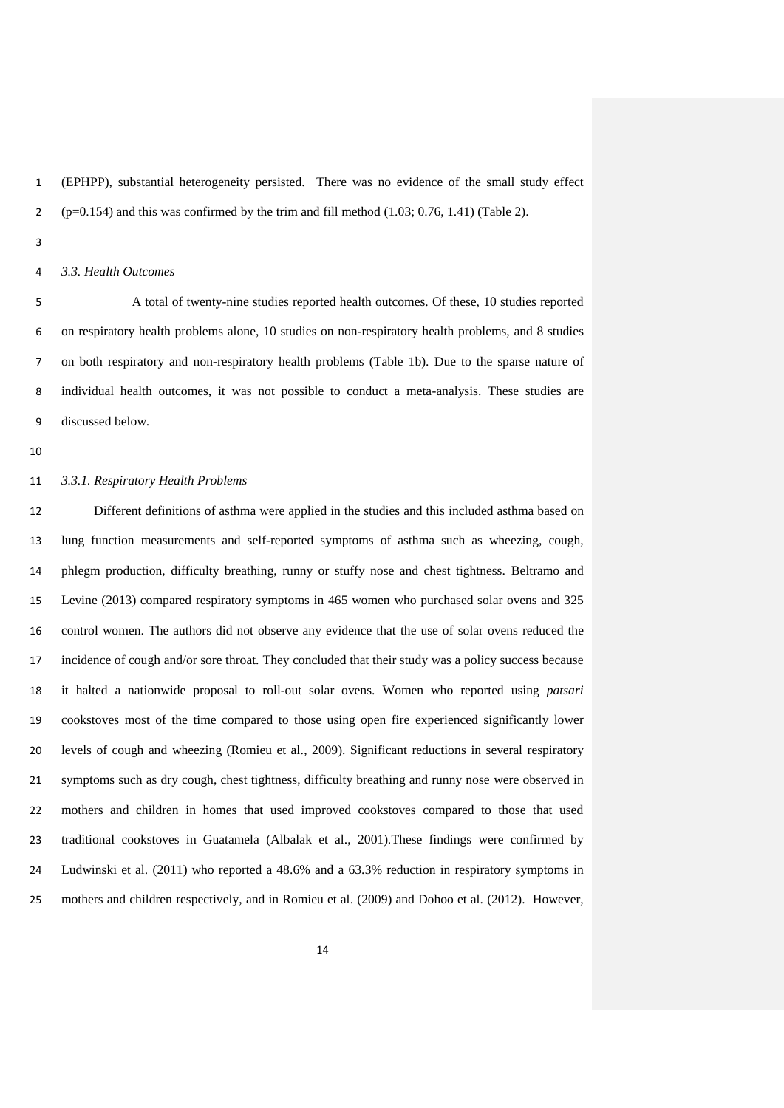(EPHPP), substantial heterogeneity persisted. There was no evidence of the small study effect 2 (p=0.154) and this was confirmed by the trim and fill method  $(1.03; 0.76, 1.41)$  (Table 2).

## *3.3. Health Outcomes*

 A total of twenty-nine studies reported health outcomes. Of these, 10 studies reported on respiratory health problems alone, 10 studies on non-respiratory health problems, and 8 studies on both respiratory and non-respiratory health problems (Table 1b). Due to the sparse nature of individual health outcomes, it was not possible to conduct a meta-analysis. These studies are discussed below.

## *3.3.1. Respiratory Health Problems*

 Different definitions of asthma were applied in the studies and this included asthma based on lung function measurements and self-reported symptoms of asthma such as wheezing, cough, phlegm production, difficulty breathing, runny or stuffy nose and chest tightness. Beltramo and Levine (2013) compared respiratory symptoms in 465 women who purchased solar ovens and 325 control women. The authors did not observe any evidence that the use of solar ovens reduced the incidence of cough and/or sore throat. They concluded that their study was a policy success because it halted a nationwide proposal to roll-out solar ovens. Women who reported using *patsari* cookstoves most of the time compared to those using open fire experienced significantly lower levels of cough and wheezing (Romieu et al., 2009). Significant reductions in several respiratory symptoms such as dry cough, chest tightness, difficulty breathing and runny nose were observed in mothers and children in homes that used improved cookstoves compared to those that used traditional cookstoves in Guatamela (Albalak et al., 2001).These findings were confirmed by Ludwinski et al. (2011) who reported a 48.6% and a 63.3% reduction in respiratory symptoms in mothers and children respectively, and in Romieu et al. (2009) and Dohoo et al. (2012). However,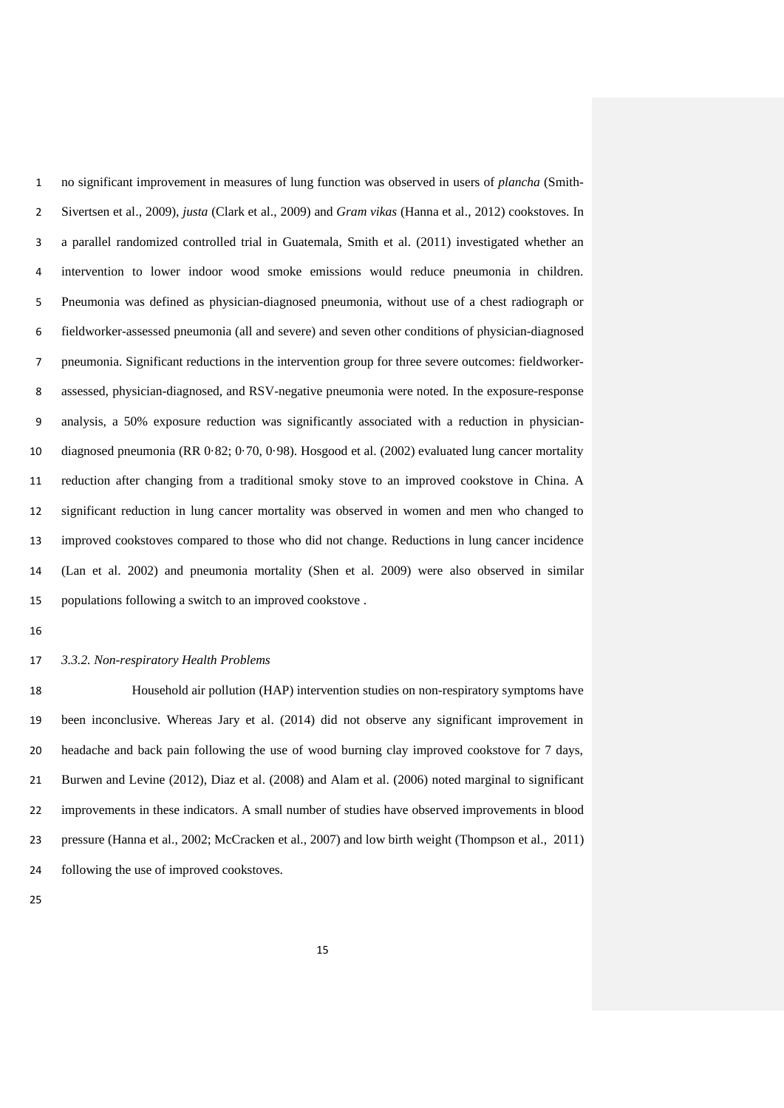no significant improvement in measures of lung function was observed in users of *plancha* (Smith- Sivertsen et al., 2009), *justa* (Clark et al., 2009) and *Gram vikas* (Hanna et al., 2012) cookstoves. In a parallel randomized controlled trial in Guatemala, Smith et al. (2011) investigated whether an intervention to lower indoor wood smoke emissions would reduce pneumonia in children. Pneumonia was defined as physician-diagnosed pneumonia, without use of a chest radiograph or fieldworker-assessed pneumonia (all and severe) and seven other conditions of physician-diagnosed pneumonia. Significant reductions in the intervention group for three severe outcomes: fieldworker- assessed, physician-diagnosed, and RSV-negative pneumonia were noted. In the exposure-response analysis, a 50% exposure reduction was significantly associated with a reduction in physician- diagnosed pneumonia (RR 0·82; 0·70, 0·98). Hosgood et al. (2002) evaluated lung cancer mortality reduction after changing from a traditional smoky stove to an improved cookstove in China. A significant reduction in lung cancer mortality was observed in women and men who changed to improved cookstoves compared to those who did not change. Reductions in lung cancer incidence (Lan et al. 2002) and pneumonia mortality (Shen et al. 2009) were also observed in similar populations following a switch to an improved cookstove .

#### *3.3.2. Non-respiratory Health Problems*

 Household air pollution (HAP) intervention studies on non-respiratory symptoms have been inconclusive. Whereas Jary et al. (2014) did not observe any significant improvement in headache and back pain following the use of wood burning clay improved cookstove for 7 days, Burwen and Levine (2012), Diaz et al. (2008) and Alam et al. (2006) noted marginal to significant improvements in these indicators. A small number of studies have observed improvements in blood pressure (Hanna et al., 2002; McCracken et al., 2007) and low birth weight (Thompson et al., 2011) following the use of improved cookstoves.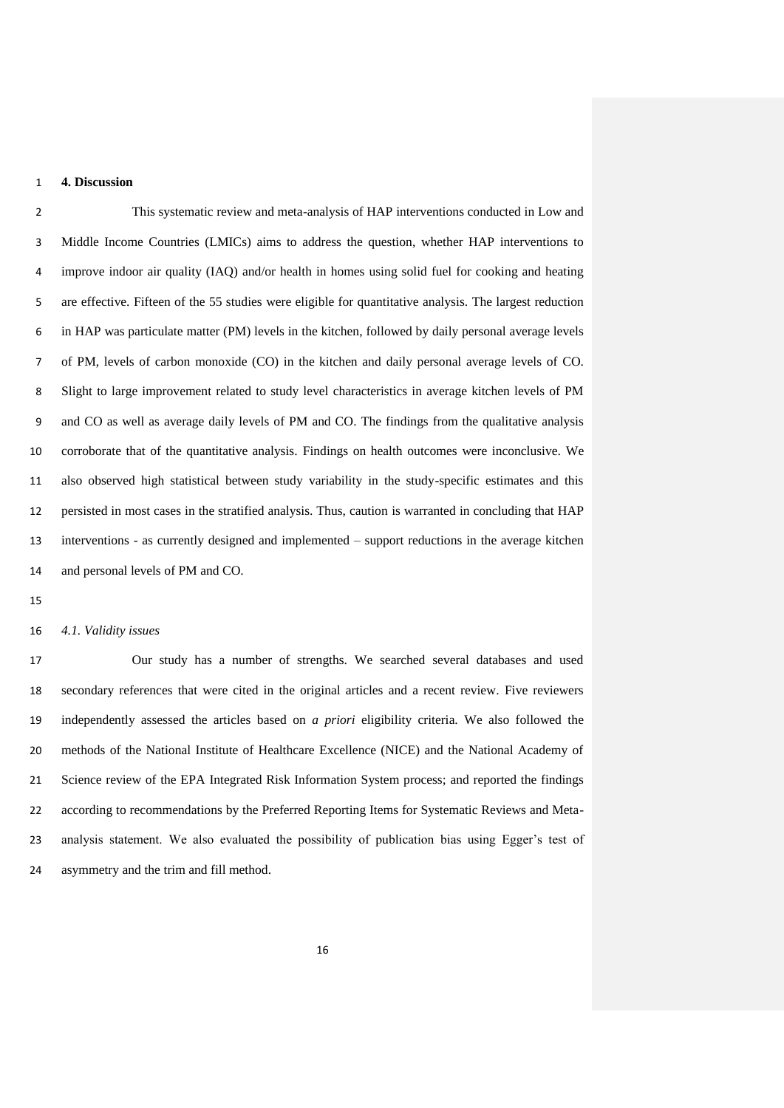# **4. Discussion**

 This systematic review and meta-analysis of HAP interventions conducted in Low and Middle Income Countries (LMICs) aims to address the question, whether HAP interventions to improve indoor air quality (IAQ) and/or health in homes using solid fuel for cooking and heating are effective. Fifteen of the 55 studies were eligible for quantitative analysis. The largest reduction in HAP was particulate matter (PM) levels in the kitchen, followed by daily personal average levels of PM, levels of carbon monoxide (CO) in the kitchen and daily personal average levels of CO. Slight to large improvement related to study level characteristics in average kitchen levels of PM and CO as well as average daily levels of PM and CO. The findings from the qualitative analysis corroborate that of the quantitative analysis. Findings on health outcomes were inconclusive. We also observed high statistical between study variability in the study-specific estimates and this persisted in most cases in the stratified analysis. Thus, caution is warranted in concluding that HAP interventions - as currently designed and implemented – support reductions in the average kitchen and personal levels of PM and CO.

## *4.1. Validity issues*

 Our study has a number of strengths. We searched several databases and used secondary references that were cited in the original articles and a recent review. Five reviewers independently assessed the articles based on *a priori* eligibility criteria. We also followed the methods of the National Institute of Healthcare Excellence (NICE) and the National Academy of Science review of the EPA Integrated Risk Information System process; and reported the findings according to recommendations by the Preferred Reporting Items for Systematic Reviews and Meta- analysis statement. We also evaluated the possibility of publication bias using Egger's test of asymmetry and the trim and fill method.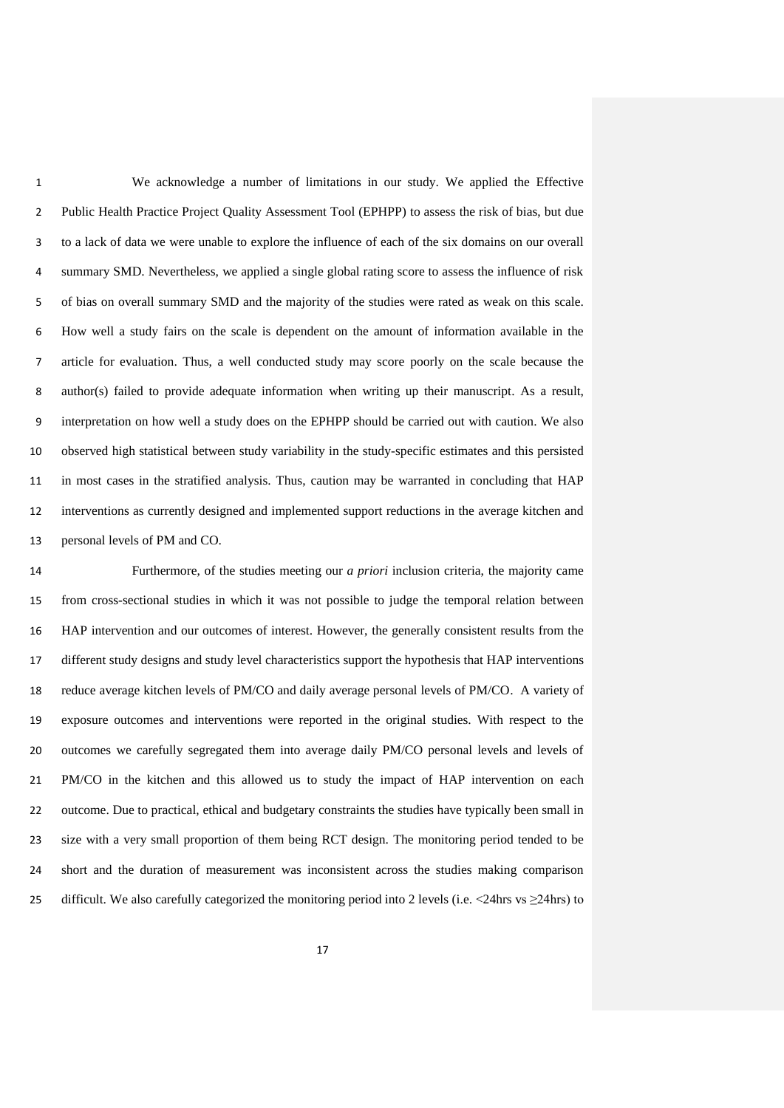We acknowledge a number of limitations in our study. We applied the Effective Public Health Practice Project Quality Assessment Tool (EPHPP) to assess the risk of bias, but due to a lack of data we were unable to explore the influence of each of the six domains on our overall summary SMD. Nevertheless, we applied a single global rating score to assess the influence of risk of bias on overall summary SMD and the majority of the studies were rated as weak on this scale. How well a study fairs on the scale is dependent on the amount of information available in the article for evaluation. Thus, a well conducted study may score poorly on the scale because the author(s) failed to provide adequate information when writing up their manuscript. As a result, interpretation on how well a study does on the EPHPP should be carried out with caution. We also observed high statistical between study variability in the study-specific estimates and this persisted in most cases in the stratified analysis. Thus, caution may be warranted in concluding that HAP interventions as currently designed and implemented support reductions in the average kitchen and personal levels of PM and CO.

 Furthermore, of the studies meeting our *a priori* inclusion criteria, the majority came from cross-sectional studies in which it was not possible to judge the temporal relation between HAP intervention and our outcomes of interest. However, the generally consistent results from the different study designs and study level characteristics support the hypothesis that HAP interventions reduce average kitchen levels of PM/CO and daily average personal levels of PM/CO. A variety of exposure outcomes and interventions were reported in the original studies. With respect to the outcomes we carefully segregated them into average daily PM/CO personal levels and levels of PM/CO in the kitchen and this allowed us to study the impact of HAP intervention on each outcome. Due to practical, ethical and budgetary constraints the studies have typically been small in size with a very small proportion of them being RCT design. The monitoring period tended to be short and the duration of measurement was inconsistent across the studies making comparison 25 difficult. We also carefully categorized the monitoring period into 2 levels (i.e.  $\langle$ 24hrs vs  $\geq$ 24hrs) to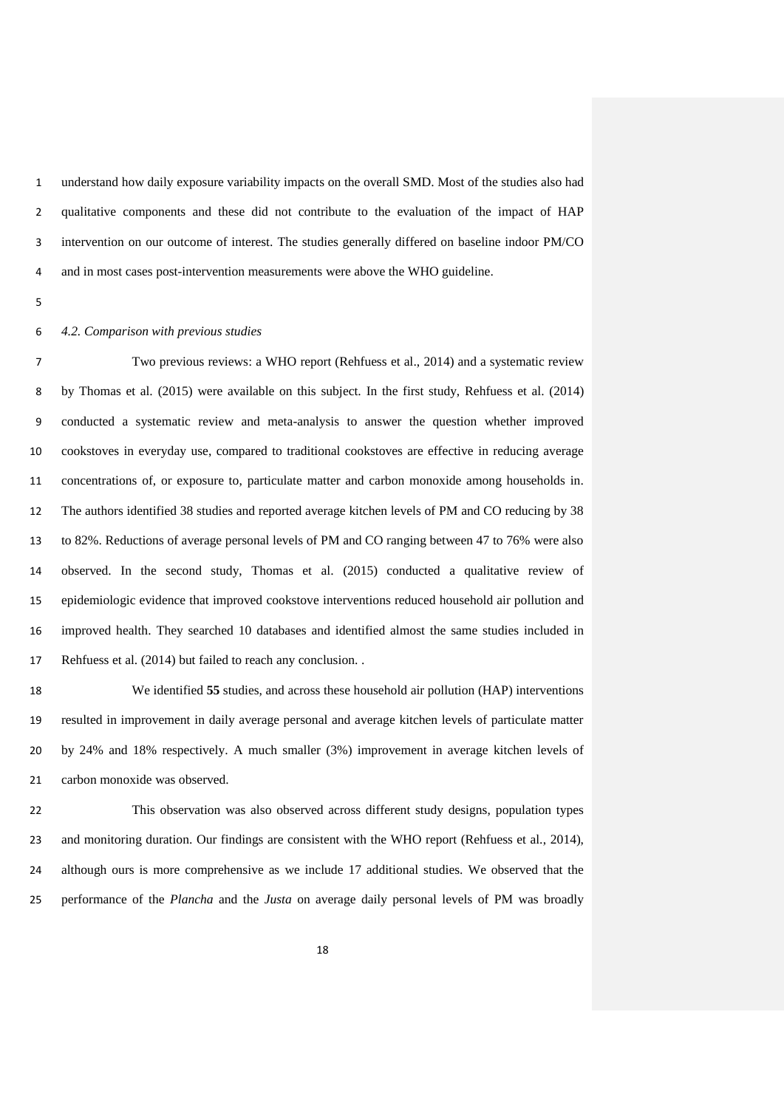understand how daily exposure variability impacts on the overall SMD. Most of the studies also had qualitative components and these did not contribute to the evaluation of the impact of HAP intervention on our outcome of interest. The studies generally differed on baseline indoor PM/CO and in most cases post-intervention measurements were above the WHO guideline.

## *4.2. Comparison with previous studies*

 Two previous reviews: a WHO report (Rehfuess et al., 2014) and a systematic review by Thomas et al. (2015) were available on this subject. In the first study, Rehfuess et al. (2014) conducted a systematic review and meta-analysis to answer the question whether improved cookstoves in everyday use, compared to traditional cookstoves are effective in reducing average concentrations of, or exposure to, particulate matter and carbon monoxide among households in. The authors identified 38 studies and reported average kitchen levels of PM and CO reducing by 38 to 82%. Reductions of average personal levels of PM and CO ranging between 47 to 76% were also observed. In the second study, Thomas et al. (2015) conducted a qualitative review of epidemiologic evidence that improved cookstove interventions reduced household air pollution and improved health. They searched 10 databases and identified almost the same studies included in Rehfuess et al. (2014) but failed to reach any conclusion. .

 We identified **55** studies, and across these household air pollution (HAP) interventions resulted in improvement in daily average personal and average kitchen levels of particulate matter by 24% and 18% respectively. A much smaller (3%) improvement in average kitchen levels of carbon monoxide was observed.

 This observation was also observed across different study designs, population types and monitoring duration. Our findings are consistent with the WHO report (Rehfuess et al., 2014), although ours is more comprehensive as we include 17 additional studies. We observed that the performance of the *Plancha* and the *Justa* on average daily personal levels of PM was broadly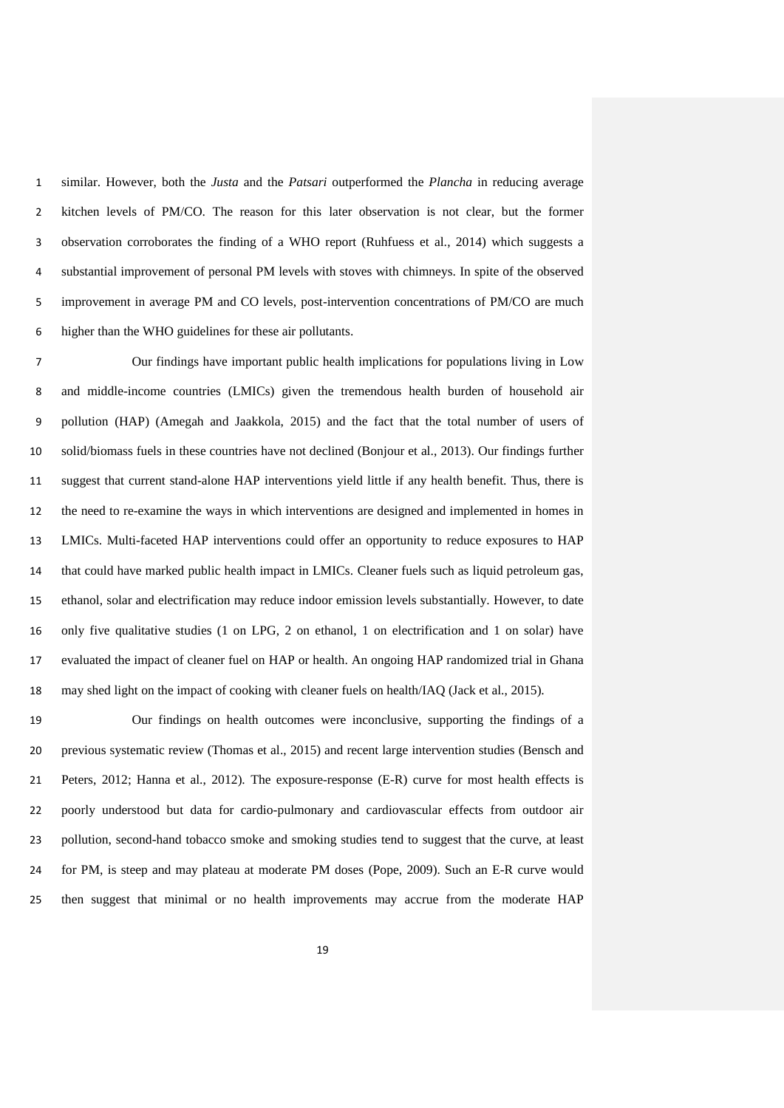similar. However, both the *Justa* and the *Patsari* outperformed the *Plancha* in reducing average kitchen levels of PM/CO. The reason for this later observation is not clear, but the former observation corroborates the finding of a WHO report (Ruhfuess et al., 2014) which suggests a substantial improvement of personal PM levels with stoves with chimneys. In spite of the observed improvement in average PM and CO levels, post-intervention concentrations of PM/CO are much higher than the WHO guidelines for these air pollutants.

 Our findings have important public health implications for populations living in Low and middle-income countries (LMICs) given the tremendous health burden of household air pollution (HAP) (Amegah and Jaakkola, 2015) and the fact that the total number of users of solid/biomass fuels in these countries have not declined (Bonjour et al., 2013). Our findings further suggest that current stand-alone HAP interventions yield little if any health benefit. Thus, there is the need to re-examine the ways in which interventions are designed and implemented in homes in LMICs. Multi-faceted HAP interventions could offer an opportunity to reduce exposures to HAP that could have marked public health impact in LMICs. Cleaner fuels such as liquid petroleum gas, ethanol, solar and electrification may reduce indoor emission levels substantially. However, to date only five qualitative studies (1 on LPG, 2 on ethanol, 1 on electrification and 1 on solar) have evaluated the impact of cleaner fuel on HAP or health. An ongoing HAP randomized trial in Ghana may shed light on the impact of cooking with cleaner fuels on health/IAQ (Jack et al., 2015).

 Our findings on health outcomes were inconclusive, supporting the findings of a previous systematic review (Thomas et al., 2015) and recent large intervention studies (Bensch and Peters, 2012; Hanna et al., 2012). The exposure-response (E-R) curve for most health effects is poorly understood but data for cardio-pulmonary and cardiovascular effects from outdoor air pollution, second-hand tobacco smoke and smoking studies tend to suggest that the curve, at least for PM, is steep and may plateau at moderate PM doses (Pope, 2009). Such an E-R curve would then suggest that minimal or no health improvements may accrue from the moderate HAP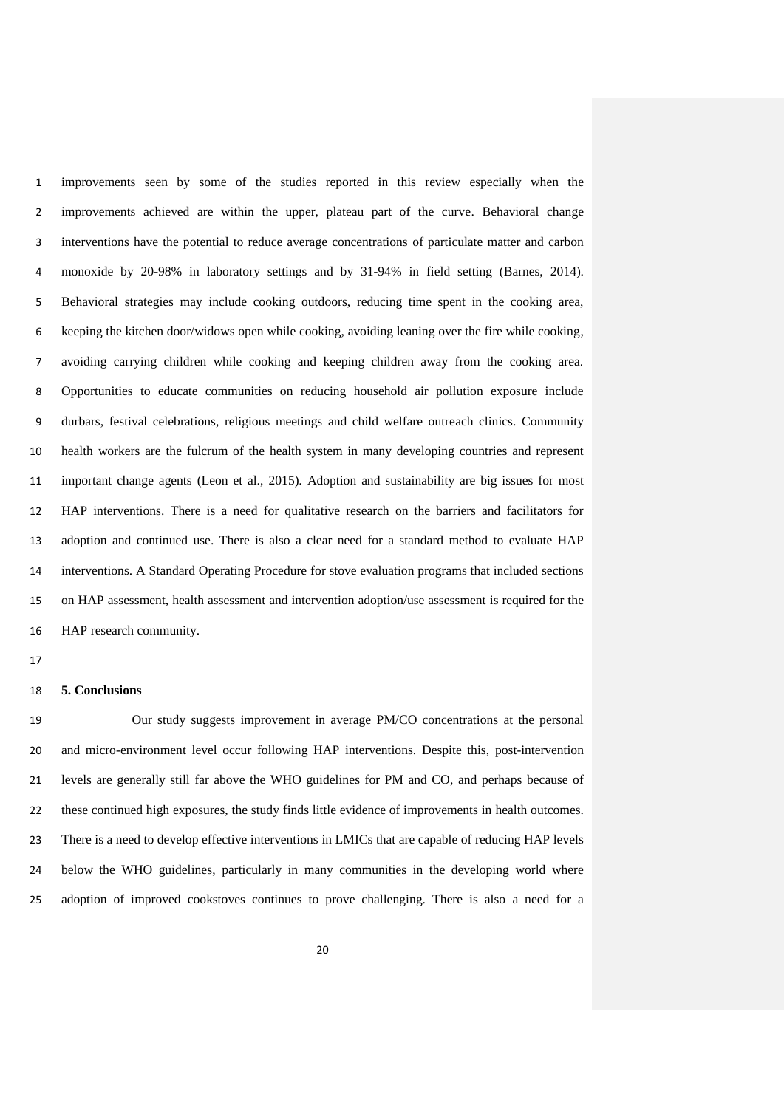improvements seen by some of the studies reported in this review especially when the improvements achieved are within the upper, plateau part of the curve. Behavioral change interventions have the potential to reduce average concentrations of particulate matter and carbon monoxide by 20-98% in laboratory settings and by 31-94% in field setting (Barnes, 2014). Behavioral strategies may include cooking outdoors, reducing time spent in the cooking area, keeping the kitchen door/widows open while cooking, avoiding leaning over the fire while cooking, avoiding carrying children while cooking and keeping children away from the cooking area. Opportunities to educate communities on reducing household air pollution exposure include durbars, festival celebrations, religious meetings and child welfare outreach clinics. Community health workers are the fulcrum of the health system in many developing countries and represent important change agents (Leon et al., 2015). Adoption and sustainability are big issues for most HAP interventions. There is a need for qualitative research on the barriers and facilitators for adoption and continued use. There is also a clear need for a standard method to evaluate HAP interventions. A Standard Operating Procedure for stove evaluation programs that included sections on HAP assessment, health assessment and intervention adoption/use assessment is required for the HAP research community.

#### **5. Conclusions**

 Our study suggests improvement in average PM/CO concentrations at the personal and micro-environment level occur following HAP interventions. Despite this, post-intervention levels are generally still far above the WHO guidelines for PM and CO, and perhaps because of these continued high exposures, the study finds little evidence of improvements in health outcomes. There is a need to develop effective interventions in LMICs that are capable of reducing HAP levels below the WHO guidelines, particularly in many communities in the developing world where adoption of improved cookstoves continues to prove challenging. There is also a need for a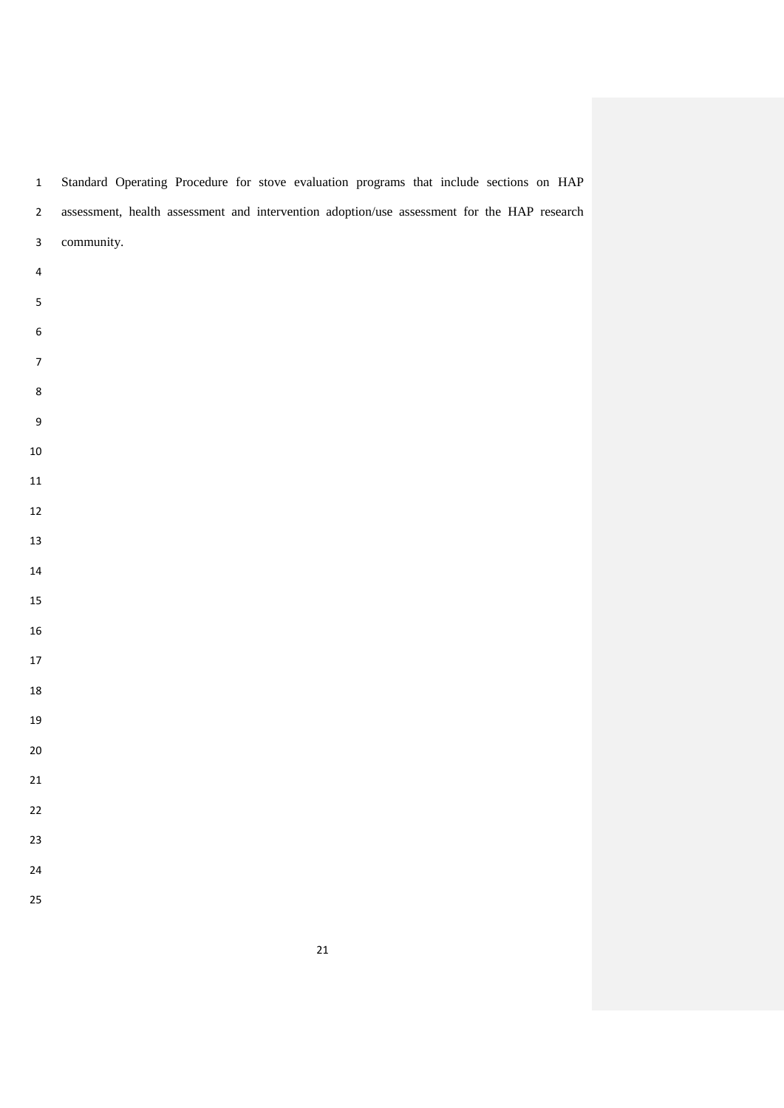|                         |            | $\overline{\phantom{a}}$ | - |  | $\overline{\phantom{a}}$<br>-                                                               |  |  |  |
|-------------------------|------------|--------------------------|---|--|---------------------------------------------------------------------------------------------|--|--|--|
| $\mathbf 2$             |            |                          |   |  | assessment, health assessment and intervention adoption/use assessment for the HAP research |  |  |  |
| $\mathbf{3}$            | community. |                          |   |  |                                                                                             |  |  |  |
| $\overline{\mathbf{4}}$ |            |                          |   |  |                                                                                             |  |  |  |
| $\sf 5$                 |            |                          |   |  |                                                                                             |  |  |  |
| $\boldsymbol{6}$        |            |                          |   |  |                                                                                             |  |  |  |
| $\boldsymbol{7}$        |            |                          |   |  |                                                                                             |  |  |  |
| $\bf 8$                 |            |                          |   |  |                                                                                             |  |  |  |
| $\boldsymbol{9}$        |            |                          |   |  |                                                                                             |  |  |  |
| ${\bf 10}$              |            |                          |   |  |                                                                                             |  |  |  |
| ${\bf 11}$              |            |                          |   |  |                                                                                             |  |  |  |
| $12\,$                  |            |                          |   |  |                                                                                             |  |  |  |
| $13\,$                  |            |                          |   |  |                                                                                             |  |  |  |
| $\bf{14}$               |            |                          |   |  |                                                                                             |  |  |  |
| $15\,$                  |            |                          |   |  |                                                                                             |  |  |  |
| ${\bf 16}$              |            |                          |   |  |                                                                                             |  |  |  |
| $17\,$                  |            |                          |   |  |                                                                                             |  |  |  |
| ${\bf 18}$              |            |                          |   |  |                                                                                             |  |  |  |
| 19                      |            |                          |   |  |                                                                                             |  |  |  |
| $20\,$                  |            |                          |   |  |                                                                                             |  |  |  |
| $21\,$                  |            |                          |   |  |                                                                                             |  |  |  |
| 22                      |            |                          |   |  |                                                                                             |  |  |  |
| 23                      |            |                          |   |  |                                                                                             |  |  |  |
| 24                      |            |                          |   |  |                                                                                             |  |  |  |
|                         |            |                          |   |  |                                                                                             |  |  |  |
| 25                      |            |                          |   |  |                                                                                             |  |  |  |

Standard Operating Procedure for stove evaluation programs that include sections on HAP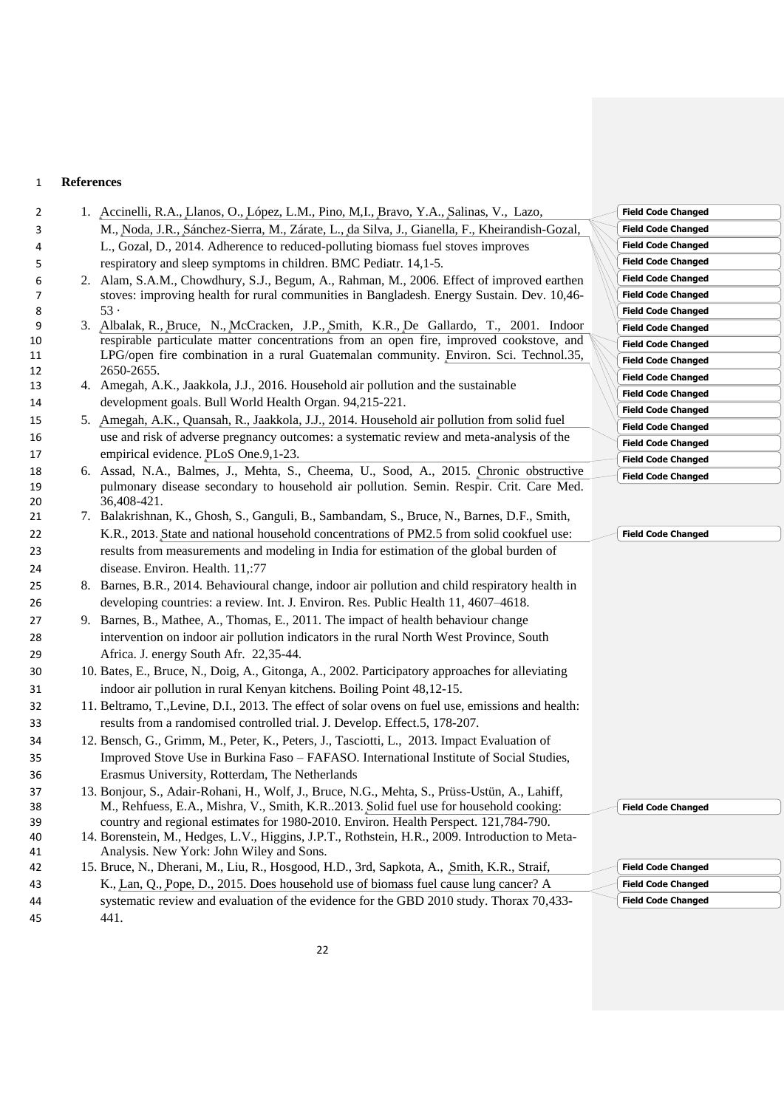# **References**

| 2        | 1. Accinelli, R.A., Llanos, O., López, L.M., Pino, M.I., Bravo, Y.A., Salinas, V., Lazo,                                                                                                 | <b>Field Code Changed</b> |
|----------|------------------------------------------------------------------------------------------------------------------------------------------------------------------------------------------|---------------------------|
| 3        | M., Noda, J.R., Sánchez-Sierra, M., Zárate, L., da Silva, J., Gianella, F., Kheirandish-Gozal,                                                                                           | <b>Field Code Changed</b> |
| 4        | L., Gozal, D., 2014. Adherence to reduced-polluting biomass fuel stoves improves                                                                                                         | <b>Field Code Changed</b> |
| 5        | respiratory and sleep symptoms in children. BMC Pediatr. 14,1-5.                                                                                                                         | <b>Field Code Changed</b> |
| 6        | 2. Alam, S.A.M., Chowdhury, S.J., Begum, A., Rahman, M., 2006. Effect of improved earthen                                                                                                | <b>Field Code Changed</b> |
| 7        | stoves: improving health for rural communities in Bangladesh. Energy Sustain. Dev. 10,46-                                                                                                | <b>Field Code Changed</b> |
| 8        | 53.                                                                                                                                                                                      | <b>Field Code Changed</b> |
| 9        | 3. Albalak, R., Bruce, N., McCracken, J.P., Smith, K.R., De Gallardo, T., 2001. Indoor                                                                                                   | <b>Field Code Changed</b> |
| 10       | respirable particulate matter concentrations from an open fire, improved cookstove, and                                                                                                  | <b>Field Code Changed</b> |
| 11       | LPG/open fire combination in a rural Guatemalan community. Environ. Sci. Technol.35,<br>2650-2655.                                                                                       | <b>Field Code Changed</b> |
| 12<br>13 | 4. Amegah, A.K., Jaakkola, J.J., 2016. Household air pollution and the sustainable                                                                                                       | <b>Field Code Changed</b> |
|          | development goals. Bull World Health Organ. 94,215-221.                                                                                                                                  | <b>Field Code Changed</b> |
| 14       | 5. Amegah, A.K., Quansah, R., Jaakkola, J.J., 2014. Household air pollution from solid fuel                                                                                              | <b>Field Code Changed</b> |
| 15       |                                                                                                                                                                                          | <b>Field Code Changed</b> |
| 16       | use and risk of adverse pregnancy outcomes: a systematic review and meta-analysis of the                                                                                                 | <b>Field Code Changed</b> |
| 17       | empirical evidence. PLoS One.9,1-23.                                                                                                                                                     | <b>Field Code Changed</b> |
| 18       | 6. Assad, N.A., Balmes, J., Mehta, S., Cheema, U., Sood, A., 2015. Chronic obstructive<br>pulmonary disease secondary to household air pollution. Semin. Respir. Crit. Care Med.         | <b>Field Code Changed</b> |
| 19<br>20 | 36,408-421.                                                                                                                                                                              |                           |
| 21       | 7. Balakrishnan, K., Ghosh, S., Ganguli, B., Sambandam, S., Bruce, N., Barnes, D.F., Smith,                                                                                              |                           |
| 22       | K.R., 2013. State and national household concentrations of PM2.5 from solid cookfuel use:                                                                                                | <b>Field Code Changed</b> |
| 23       | results from measurements and modeling in India for estimation of the global burden of                                                                                                   |                           |
| 24       | disease. Environ. Health. 11,:77                                                                                                                                                         |                           |
| 25       | 8. Barnes, B.R., 2014. Behavioural change, indoor air pollution and child respiratory health in                                                                                          |                           |
| 26       | developing countries: a review. Int. J. Environ. Res. Public Health 11, 4607-4618.                                                                                                       |                           |
| 27       | 9. Barnes, B., Mathee, A., Thomas, E., 2011. The impact of health behaviour change                                                                                                       |                           |
| 28       | intervention on indoor air pollution indicators in the rural North West Province, South                                                                                                  |                           |
| 29       | Africa. J. energy South Afr. 22,35-44.                                                                                                                                                   |                           |
| 30       | 10. Bates, E., Bruce, N., Doig, A., Gitonga, A., 2002. Participatory approaches for alleviating                                                                                          |                           |
| 31       | indoor air pollution in rural Kenyan kitchens. Boiling Point 48,12-15.                                                                                                                   |                           |
| 32       | 11. Beltramo, T., Levine, D.I., 2013. The effect of solar ovens on fuel use, emissions and health:                                                                                       |                           |
| 33       | results from a randomised controlled trial. J. Develop. Effect.5, 178-207.                                                                                                               |                           |
| 34       | 12. Bensch, G., Grimm, M., Peter, K., Peters, J., Tasciotti, L., 2013. Impact Evaluation of                                                                                              |                           |
|          | Improved Stove Use in Burkina Faso - FAFASO. International Institute of Social Studies,                                                                                                  |                           |
| 35       | Erasmus University, Rotterdam, The Netherlands                                                                                                                                           |                           |
| 36       |                                                                                                                                                                                          |                           |
| 37<br>38 | 13. Bonjour, S., Adair-Rohani, H., Wolf, J., Bruce, N.G., Mehta, S., Prüss-Ustün, A., Lahiff,<br>M., Rehfuess, E.A., Mishra, V., Smith, K.R. 2013. Solid fuel use for household cooking: | <b>Field Code Changed</b> |
| 39       | country and regional estimates for 1980-2010. Environ. Health Perspect. 121,784-790.                                                                                                     |                           |
| 40       | 14. Borenstein, M., Hedges, L.V., Higgins, J.P.T., Rothstein, H.R., 2009. Introduction to Meta-                                                                                          |                           |
| 41       | Analysis. New York: John Wiley and Sons.                                                                                                                                                 |                           |
| 42       | 15. Bruce, N., Dherani, M., Liu, R., Hosgood, H.D., 3rd, Sapkota, A., Smith, K.R., Straif,                                                                                               | <b>Field Code Changed</b> |
| 43       | K., Lan, Q., Pope, D., 2015. Does household use of biomass fuel cause lung cancer? A                                                                                                     | <b>Field Code Changed</b> |
| 44       | systematic review and evaluation of the evidence for the GBD 2010 study. Thorax 70,433-                                                                                                  | <b>Field Code Changed</b> |
| 45       | 441.                                                                                                                                                                                     |                           |
|          |                                                                                                                                                                                          |                           |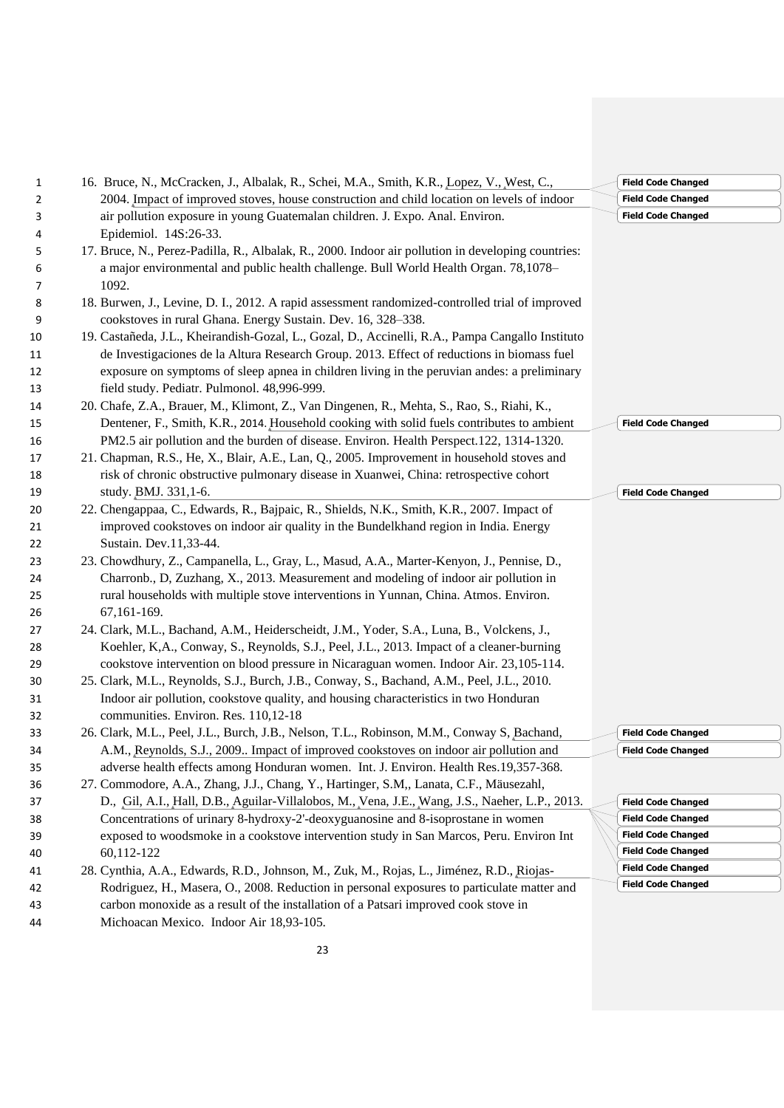| 1  | 16. Bruce, N., McCracken, J., Albalak, R., Schei, M.A., Smith, K.R., Lopez, V., West, C.,          | <b>Field Code</b> |
|----|----------------------------------------------------------------------------------------------------|-------------------|
| 2  | 2004. Impact of improved stoves, house construction and child location on levels of indoor         | <b>Field Code</b> |
| 3  | air pollution exposure in young Guatemalan children. J. Expo. Anal. Environ.                       | <b>Field Code</b> |
| 4  | Epidemiol. 14S:26-33.                                                                              |                   |
| 5  | 17. Bruce, N., Perez-Padilla, R., Albalak, R., 2000. Indoor air pollution in developing countries: |                   |
| 6  | a major environmental and public health challenge. Bull World Health Organ. 78,1078-               |                   |
| 7  | 1092.                                                                                              |                   |
| 8  | 18. Burwen, J., Levine, D. I., 2012. A rapid assessment randomized-controlled trial of improved    |                   |
| 9  | cookstoves in rural Ghana. Energy Sustain. Dev. 16, 328-338.                                       |                   |
| 10 | 19. Castañeda, J.L., Kheirandish-Gozal, L., Gozal, D., Accinelli, R.A., Pampa Cangallo Instituto   |                   |
| 11 | de Investigaciones de la Altura Research Group. 2013. Effect of reductions in biomass fuel         |                   |
| 12 | exposure on symptoms of sleep apnea in children living in the peruvian andes: a preliminary        |                   |
| 13 | field study. Pediatr. Pulmonol. 48,996-999.                                                        |                   |
| 14 | 20. Chafe, Z.A., Brauer, M., Klimont, Z., Van Dingenen, R., Mehta, S., Rao, S., Riahi, K.,         |                   |
| 15 | Dentener, F., Smith, K.R., 2014. Household cooking with solid fuels contributes to ambient         | <b>Field Code</b> |
| 16 | PM2.5 air pollution and the burden of disease. Environ. Health Perspect.122, 1314-1320.            |                   |
| 17 | 21. Chapman, R.S., He, X., Blair, A.E., Lan, Q., 2005. Improvement in household stoves and         |                   |
| 18 | risk of chronic obstructive pulmonary disease in Xuanwei, China: retrospective cohort              |                   |
| 19 | study. BMJ. 331,1-6.                                                                               | <b>Field Code</b> |
| 20 | 22. Chengappaa, C., Edwards, R., Bajpaic, R., Shields, N.K., Smith, K.R., 2007. Impact of          |                   |
| 21 | improved cookstoves on indoor air quality in the Bundelkhand region in India. Energy               |                   |
| 22 | Sustain. Dev.11,33-44.                                                                             |                   |
| 23 | 23. Chowdhury, Z., Campanella, L., Gray, L., Masud, A.A., Marter-Kenyon, J., Pennise, D.,          |                   |
| 24 | Charronb., D, Zuzhang, X., 2013. Measurement and modeling of indoor air pollution in               |                   |
| 25 | rural households with multiple stove interventions in Yunnan, China. Atmos. Environ.               |                   |
| 26 | 67, 161-169.                                                                                       |                   |
| 27 | 24. Clark, M.L., Bachand, A.M., Heiderscheidt, J.M., Yoder, S.A., Luna, B., Volckens, J.,          |                   |
| 28 | Koehler, K,A., Conway, S., Reynolds, S.J., Peel, J.L., 2013. Impact of a cleaner-burning           |                   |
| 29 | cookstove intervention on blood pressure in Nicaraguan women. Indoor Air. 23,105-114.              |                   |
| 30 | 25. Clark, M.L., Reynolds, S.J., Burch, J.B., Conway, S., Bachand, A.M., Peel, J.L., 2010.         |                   |
| 31 | Indoor air pollution, cookstove quality, and housing characteristics in two Honduran               |                   |
| 32 | communities. Environ. Res. 110,12-18                                                               |                   |
| 33 | 26. Clark, M.L., Peel, J.L., Burch, J.B., Nelson, T.L., Robinson, M.M., Conway S, Bachand,         | <b>Field Code</b> |
| 34 | A.M., Reynolds, S.J., 2009 Impact of improved cookstoves on indoor air pollution and               | <b>Field Code</b> |
| 35 | adverse health effects among Honduran women. Int. J. Environ. Health Res.19,357-368.               |                   |
| 36 | 27. Commodore, A.A., Zhang, J.J., Chang, Y., Hartinger, S.M., Lanata, C.F., Mäusezahl,             |                   |
| 37 | D., Gil, A.I., Hall, D.B., Aguilar-Villalobos, M., Vena, J.E., Wang, J.S., Naeher, L.P., 2013.     | <b>Field Code</b> |
| 38 | Concentrations of urinary 8-hydroxy-2'-deoxyguanosine and 8-isoprostane in women                   | <b>Field Code</b> |
| 39 | exposed to woodsmoke in a cookstove intervention study in San Marcos, Peru. Environ Int            | <b>Field Code</b> |
| 40 | 60,112-122                                                                                         | <b>Field Code</b> |
| 41 | 28. Cynthia, A.A., Edwards, R.D., Johnson, M., Zuk, M., Rojas, L., Jiménez, R.D., Riojas-          | <b>Field Code</b> |
| 42 | Rodriguez, H., Masera, O., 2008. Reduction in personal exposures to particulate matter and         | <b>Field Code</b> |
| 43 | carbon monoxide as a result of the installation of a Patsari improved cook stove in                |                   |
| 44 | Michoacan Mexico. Indoor Air 18,93-105.                                                            |                   |

**Field Code Changed Field Code Changed Field Code Changed**

**Field Code Changed**

**Field Code Changed**

**Field Code Changed Field Code Changed**

| <b>Field Code Changed</b> |
|---------------------------|
| <b>Field Code Changed</b> |
| <b>Field Code Changed</b> |
| <b>Field Code Changed</b> |
| <b>Field Code Changed</b> |
| <b>Field Code Changed</b> |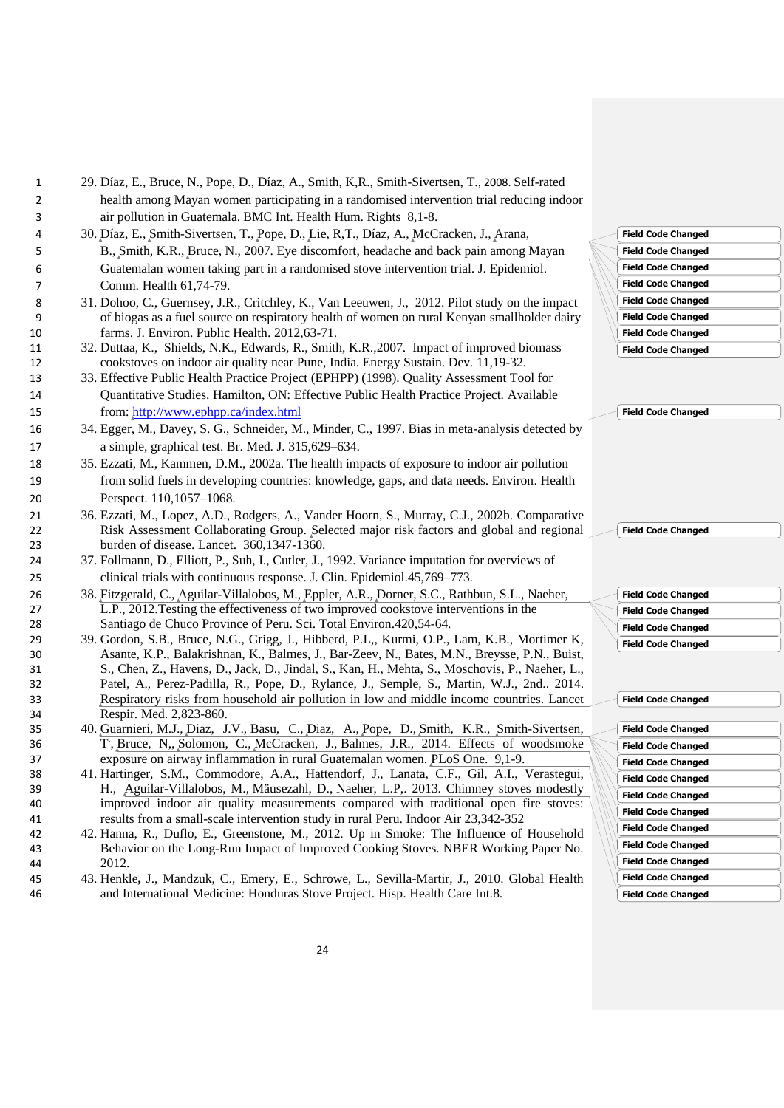| $\overline{2}$ | health among Mayan women participating in a randomised intervention trial reducing indoor                                                                                                    |                           |
|----------------|----------------------------------------------------------------------------------------------------------------------------------------------------------------------------------------------|---------------------------|
| 3              | air pollution in Guatemala. BMC Int. Health Hum. Rights 8,1-8.                                                                                                                               |                           |
| 4              | 30. Díaz, E., Smith-Sivertsen, T., Pope, D., Lie, R,T., Díaz, A., McCracken, J., Arana,                                                                                                      | <b>Field Code Changed</b> |
| 5              | B., Smith, K.R., Bruce, N., 2007. Eye discomfort, headache and back pain among Mayan                                                                                                         | <b>Field Code Changed</b> |
| 6              | Guatemalan women taking part in a randomised stove intervention trial. J. Epidemiol.                                                                                                         | <b>Field Code Changed</b> |
| 7              | Comm. Health 61,74-79.                                                                                                                                                                       | <b>Field Code Changed</b> |
| 8              | 31. Dohoo, C., Guernsey, J.R., Critchley, K., Van Leeuwen, J., 2012. Pilot study on the impact                                                                                               | <b>Field Code Changed</b> |
| 9              | of biogas as a fuel source on respiratory health of women on rural Kenyan smallholder dairy                                                                                                  | <b>Field Code Changed</b> |
| 10             | farms. J. Environ. Public Health. 2012,63-71.                                                                                                                                                | <b>Field Code Changed</b> |
| 11             | 32. Duttaa, K., Shields, N.K., Edwards, R., Smith, K.R., 2007. Impact of improved biomass                                                                                                    | <b>Field Code Changed</b> |
| 12             | cookstoves on indoor air quality near Pune, India. Energy Sustain. Dev. 11,19-32.                                                                                                            |                           |
| 13             | 33. Effective Public Health Practice Project (EPHPP) (1998). Quality Assessment Tool for                                                                                                     |                           |
| 14             | Quantitative Studies. Hamilton, ON: Effective Public Health Practice Project. Available                                                                                                      |                           |
| 15             | from: http://www.ephpp.ca/index.html                                                                                                                                                         | <b>Field Code Changed</b> |
| 16             | 34. Egger, M., Davey, S. G., Schneider, M., Minder, C., 1997. Bias in meta-analysis detected by                                                                                              |                           |
| 17             | a simple, graphical test. Br. Med. J. 315,629-634.                                                                                                                                           |                           |
| 18             | 35. Ezzati, M., Kammen, D.M., 2002a. The health impacts of exposure to indoor air pollution                                                                                                  |                           |
| 19             | from solid fuels in developing countries: knowledge, gaps, and data needs. Environ. Health                                                                                                   |                           |
| 20             | Perspect. 110,1057-1068.                                                                                                                                                                     |                           |
| 21             | 36. Ezzati, M., Lopez, A.D., Rodgers, A., Vander Hoorn, S., Murray, C.J., 2002b. Comparative                                                                                                 |                           |
| 22             | Risk Assessment Collaborating Group. Selected major risk factors and global and regional                                                                                                     | <b>Field Code Changed</b> |
| 23             | burden of disease. Lancet. 360,1347-1360.                                                                                                                                                    |                           |
| 24             | 37. Follmann, D., Elliott, P., Suh, I., Cutler, J., 1992. Variance imputation for overviews of                                                                                               |                           |
| 25             | clinical trials with continuous response. J. Clin. Epidemiol.45,769-773.                                                                                                                     |                           |
| 26             | 38. Fitzgerald, C., Aguilar-Villalobos, M., Eppler, A.R., Dorner, S.C., Rathbun, S.L., Naeher,                                                                                               | <b>Field Code Changed</b> |
| 27             | L.P., 2012. Testing the effectiveness of two improved cookstove interventions in the                                                                                                         | <b>Field Code Changed</b> |
| 28             | Santiago de Chuco Province of Peru. Sci. Total Environ.420,54-64.                                                                                                                            | <b>Field Code Changed</b> |
| 29             | 39. Gordon, S.B., Bruce, N.G., Grigg, J., Hibberd, P.L., Kurmi, O.P., Lam, K.B., Mortimer K,<br>Asante, K.P., Balakrishnan, K., Balmes, J., Bar-Zeev, N., Bates, M.N., Breysse, P.N., Buist, | <b>Field Code Changed</b> |
| 30<br>31       | S., Chen, Z., Havens, D., Jack, D., Jindal, S., Kan, H., Mehta, S., Moschovis, P., Naeher, L.,                                                                                               |                           |
| 32             | Patel, A., Perez-Padilla, R., Pope, D., Rylance, J., Semple, S., Martin, W.J., 2nd 2014.                                                                                                     |                           |
| 33             | Respiratory risks from household air pollution in low and middle income countries. Lancet                                                                                                    | <b>Field Code Changed</b> |
| 34             | Respir. Med. 2,823-860.                                                                                                                                                                      |                           |
| 35             | 40. Guarnieri, M.J., Diaz, J.V., Basu, C., Diaz, A., Pope, D., Smith, K.R., Smith-Sivertsen,                                                                                                 | <b>Field Code Changed</b> |
| 36             | T, Bruce, N, Solomon, C., McCracken, J., Balmes, J.R., 2014. Effects of woodsmoke                                                                                                            | <b>Field Code Changed</b> |
| 37             | exposure on airway inflammation in rural Guatemalan women. PLoS One. 9,1-9.                                                                                                                  | <b>Field Code Changed</b> |
| 38             | 41. Hartinger, S.M., Commodore, A.A., Hattendorf, J., Lanata, C.F., Gil, A.I., Verastegui,<br>H., Aguilar-Villalobos, M., Mäusezahl, D., Naeher, L.P., 2013. Chimney stoves modestly         | <b>Field Code Changed</b> |
| 39<br>40       | improved indoor air quality measurements compared with traditional open fire stoves:                                                                                                         | <b>Field Code Changed</b> |
| 41             | results from a small-scale intervention study in rural Peru. Indoor Air 23,342-352                                                                                                           | <b>Field Code Changed</b> |
| 42             | 42. Hanna, R., Duflo, E., Greenstone, M., 2012. Up in Smoke: The Influence of Household                                                                                                      | <b>Field Code Changed</b> |
| 43             | Behavior on the Long-Run Impact of Improved Cooking Stoves. NBER Working Paper No.                                                                                                           | <b>Field Code Changed</b> |
| 44             | 2012.                                                                                                                                                                                        | <b>Field Code Changed</b> |
| 45             | 43. Henkle, J., Mandzuk, C., Emery, E., Schrowe, L., Sevilla-Martir, J., 2010. Global Health                                                                                                 | <b>Field Code Changed</b> |
| 46             | and International Medicine: Honduras Stove Project. Hisp. Health Care Int.8.                                                                                                                 | <b>Field Code Changed</b> |
|                |                                                                                                                                                                                              |                           |
|                | 24                                                                                                                                                                                           |                           |
|                |                                                                                                                                                                                              |                           |
|                |                                                                                                                                                                                              |                           |
|                |                                                                                                                                                                                              |                           |

1 29. Díaz, E., Bruce, N., Pope, D., Díaz, A., Smith, K,R., Smith-Sivertsen, T., 2008. Self-rated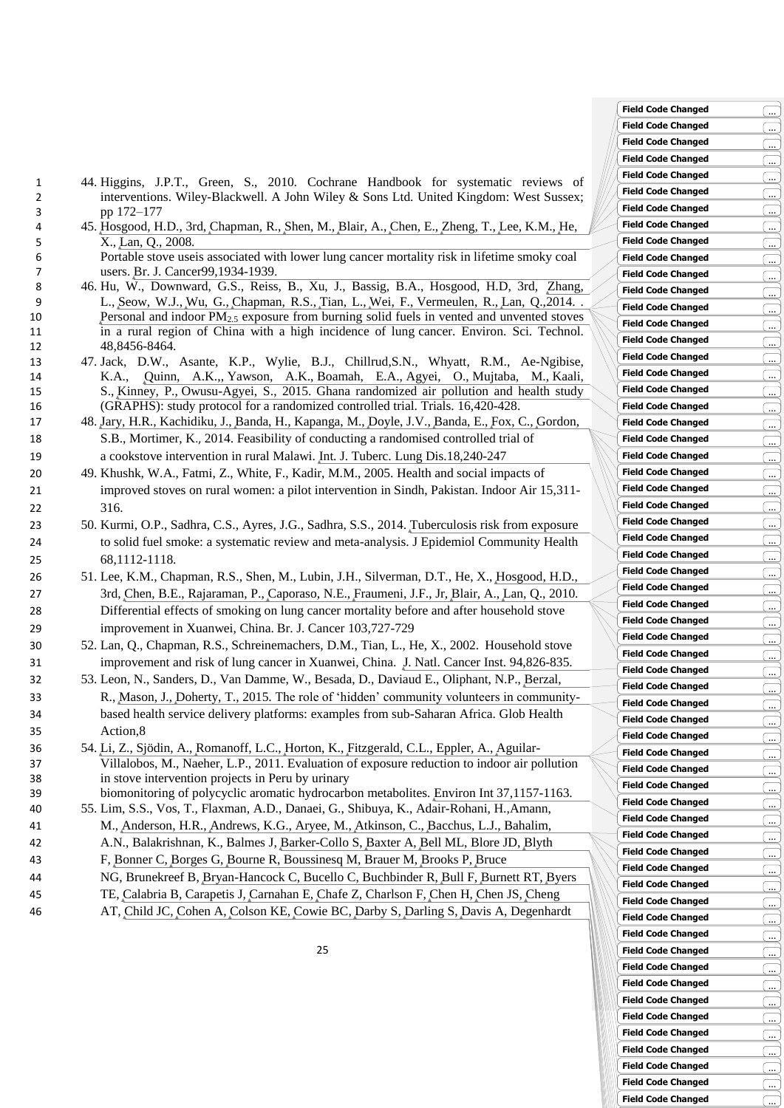- 1 44. Higgins, J.P.T., Green, S., 2010. Cochrane Handbook for systematic reviews of 2 interventions. Wiley-Blackwell. A John Wiley & Sons Ltd. United Kingdom: West Sussex; 3 pp 172–177
- 4 45. [Hosgood,](http://www.ncbi.nlm.nih.gov/pubmed/?term=Hosgood%20HD%203rd%5BAuthor%5D&cauthor=true&cauthor_uid=19034286) H.D., 3rd, [Chapman,](http://www.ncbi.nlm.nih.gov/pubmed/?term=Chapman%20R%5BAuthor%5D&cauthor=true&cauthor_uid=19034286) R., [Shen,](http://www.ncbi.nlm.nih.gov/pubmed/?term=Shen%20M%5BAuthor%5D&cauthor=true&cauthor_uid=19034286) M., [Blair,](http://www.ncbi.nlm.nih.gov/pubmed/?term=Blair%20A%5BAuthor%5D&cauthor=true&cauthor_uid=19034286) A., [Chen,](http://www.ncbi.nlm.nih.gov/pubmed/?term=Chen%20E%5BAuthor%5D&cauthor=true&cauthor_uid=19034286) E., [Zheng,](http://www.ncbi.nlm.nih.gov/pubmed/?term=Zheng%20T%5BAuthor%5D&cauthor=true&cauthor_uid=19034286) T., Lee, [K.M.](http://www.ncbi.nlm.nih.gov/pubmed/?term=Lee%20KM%5BAuthor%5D&cauthor=true&cauthor_uid=19034286), [He,](http://www.ncbi.nlm.nih.gov/pubmed/?term=He%20X%5BAuthor%5D&cauthor=true&cauthor_uid=19034286) 5 [X.](http://www.ncbi.nlm.nih.gov/pubmed/?term=He%20X%5BAuthor%5D&cauthor=true&cauthor_uid=19034286), [Lan,](http://www.ncbi.nlm.nih.gov/pubmed/?term=Lan%20Q%5BAuthor%5D&cauthor=true&cauthor_uid=19034286) Q., 2008.

6 Portable stove useis associated with lower lung cancer mortality risk in lifetime smoky coal 7 users. Br. J. [Cancer9](http://www.ncbi.nlm.nih.gov/pubmed/?term=Portable+stove+use+is+associated+with+lower+lung+cancer+mortality+risk+in+lifetime+smoky+coal+users)9,1934-1939.

- 8 46. Hu, W., Downward, G.S., Reiss, B., Xu, J., Bassig, B.A., Hosgood, H.D, 3rd, [Zhang,](https://www.ncbi.nlm.nih.gov/pubmed/?term=Zhang%20L%5BAuthor%5D&cauthor=true&cauthor_uid=25003800)  9 [L.](https://www.ncbi.nlm.nih.gov/pubmed/?term=Zhang%20L%5BAuthor%5D&cauthor=true&cauthor_uid=25003800), [Seow, W.J.](https://www.ncbi.nlm.nih.gov/pubmed/?term=Seow%20WJ%5BAuthor%5D&cauthor=true&cauthor_uid=25003800), [Wu, G.](https://www.ncbi.nlm.nih.gov/pubmed/?term=Wu%20G%5BAuthor%5D&cauthor=true&cauthor_uid=25003800), [Chapman, R.S.](https://www.ncbi.nlm.nih.gov/pubmed/?term=Chapman%20RS%5BAuthor%5D&cauthor=true&cauthor_uid=25003800), [Tian, L.](https://www.ncbi.nlm.nih.gov/pubmed/?term=Tian%20L%5BAuthor%5D&cauthor=true&cauthor_uid=25003800), [Wei, F.](https://www.ncbi.nlm.nih.gov/pubmed/?term=Wei%20F%5BAuthor%5D&cauthor=true&cauthor_uid=25003800), [Vermeulen, R.](https://www.ncbi.nlm.nih.gov/pubmed/?term=Vermeulen%20R%5BAuthor%5D&cauthor=true&cauthor_uid=25003800), [Lan, Q.](https://www.ncbi.nlm.nih.gov/pubmed/?term=Lan%20Q%5BAuthor%5D&cauthor=true&cauthor_uid=25003800),2014. . 10 Personal and indoor PM2.5 [exposure from burning solid fuels in vented and unvented stoves](http://www.ncbi.nlm.nih.gov/pubmed/25003800)  11 [in a rural region of China with a high incidence of lung](http://www.ncbi.nlm.nih.gov/pubmed/25003800) cancer. Environ. Sci. Technol. 12 48,8456-8464.
- 13 47. Jack, D.W., Asante, K.P., Wylie, B.J., Chillrud,S.N., Whyatt, R.M., Ae-Ngibise, 14 K.A., [Quinn, A.K.](https://www.ncbi.nlm.nih.gov/pubmed/?term=Quinn%20AK%5BAuthor%5D&cauthor=true&cauthor_uid=26395578),, [Yawson, A.K.](https://www.ncbi.nlm.nih.gov/pubmed/?term=Yawson%20AK%5BAuthor%5D&cauthor=true&cauthor_uid=26395578), [Boamah, E.A.](https://www.ncbi.nlm.nih.gov/pubmed/?term=Boamah%20EA%5BAuthor%5D&cauthor=true&cauthor_uid=26395578), [Agyei, O.](https://www.ncbi.nlm.nih.gov/pubmed/?term=Agyei%20O%5BAuthor%5D&cauthor=true&cauthor_uid=26395578), [Mujtaba, M.](https://www.ncbi.nlm.nih.gov/pubmed/?term=Mujtaba%20M%5BAuthor%5D&cauthor=true&cauthor_uid=26395578), [Kaali,](https://www.ncbi.nlm.nih.gov/pubmed/?term=Kaali%20S%5BAuthor%5D&cauthor=true&cauthor_uid=26395578)  15 [S.](https://www.ncbi.nlm.nih.gov/pubmed/?term=Kaali%20S%5BAuthor%5D&cauthor=true&cauthor_uid=26395578), [Kinney, P.](https://www.ncbi.nlm.nih.gov/pubmed/?term=Kinney%20P%5BAuthor%5D&cauthor=true&cauthor_uid=26395578), [Owusu-Agyei,](https://www.ncbi.nlm.nih.gov/pubmed/?term=Owusu-Agyei%20S%5BAuthor%5D&cauthor=true&cauthor_uid=26395578) S., 2015. Ghana randomized air pollution and health study 16 (GRAPHS): study protocol for a randomized controlled trial. Trials. 16,420-428.
- 17 48. [Jary,](http://www.ncbi.nlm.nih.gov/pubmed/?term=Jary%20HR%5BAuthor%5D&cauthor=true&cauthor_uid=24429320) H.R., [Kachidiku,](http://www.ncbi.nlm.nih.gov/pubmed/?term=Kachidiku%20J%5BAuthor%5D&cauthor=true&cauthor_uid=24429320) J., [Banda,](http://www.ncbi.nlm.nih.gov/pubmed/?term=Banda%20H%5BAuthor%5D&cauthor=true&cauthor_uid=24429320) H., [Kapanga,](http://www.ncbi.nlm.nih.gov/pubmed/?term=Kapanga%20M%5BAuthor%5D&cauthor=true&cauthor_uid=24429320) M., [Doyle,](http://www.ncbi.nlm.nih.gov/pubmed/?term=Doyle%20JV%5BAuthor%5D&cauthor=true&cauthor_uid=24429320) J.V., [Banda,](http://www.ncbi.nlm.nih.gov/pubmed/?term=Banda%20E%5BAuthor%5D&cauthor=true&cauthor_uid=24429320) E., [Fox, C.](https://www.ncbi.nlm.nih.gov/pubmed/?term=Fox%20C%5BAuthor%5D&cauthor=true&cauthor_uid=24429320), [Gordon,](https://www.ncbi.nlm.nih.gov/pubmed/?term=Gordon%20SB%5BAuthor%5D&cauthor=true&cauthor_uid=24429320)  18 [S.B.](https://www.ncbi.nlm.nih.gov/pubmed/?term=Gordon%20SB%5BAuthor%5D&cauthor=true&cauthor_uid=24429320), Mortimer, K., 2014. Feasibility of conducting a randomised controlled trial of 19 a cookstove intervention in rural Malawi. Int. J. Tuberc. [Lung Dis.](http://www.ncbi.nlm.nih.gov/pubmed/?term=Feasibility+of+conducting+a+randomised+controlled+trial+of+a+cookstove+intervention+in+rural+Malawi)18,240-247
- 20 49. Khushk, W.A., Fatmi, Z., White, F., Kadir, M.M., 2005. Health and social impacts of 21 improved stoves on rural women: a pilot intervention in Sindh, Pakistan. Indoor Air 15,311- 22 316.
- 23 50. Kurmi, O.P., Sadhra, C.S., Ayres, J.G., Sadhra, S.S., 2014. [Tuberculosis risk from exposure](http://www.ncbi.nlm.nih.gov/pubmed/25081627)  24 [to solid fuel smoke: a systematic](http://www.ncbi.nlm.nih.gov/pubmed/25081627) review and meta-analysis. J Epidemiol Community Health 25 68,1112-1118.
- 26 51. Lee, K.M., Chapman, R.S., Shen, M., Lubin, J.H., Silverman, D.T., He, X., [Hosgood, H.D.,](https://www.ncbi.nlm.nih.gov/pubmed/?term=Hosgood%20HD%203rd%5BAuthor%5D&cauthor=true&cauthor_uid=20648014)  27 [3rd,](https://www.ncbi.nlm.nih.gov/pubmed/?term=Hosgood%20HD%203rd%5BAuthor%5D&cauthor=true&cauthor_uid=20648014) [Chen, B.E.](https://www.ncbi.nlm.nih.gov/pubmed/?term=Chen%20BE%5BAuthor%5D&cauthor=true&cauthor_uid=20648014), [Rajaraman, P.](https://www.ncbi.nlm.nih.gov/pubmed/?term=Rajaraman%20P%5BAuthor%5D&cauthor=true&cauthor_uid=20648014), [Caporaso, N.E.](https://www.ncbi.nlm.nih.gov/pubmed/?term=Caporaso%20NE%5BAuthor%5D&cauthor=true&cauthor_uid=20648014), [Fraumeni, J.F., Jr,](https://www.ncbi.nlm.nih.gov/pubmed/?term=Fraumeni%20JF%20Jr%5BAuthor%5D&cauthor=true&cauthor_uid=20648014) [Blair, A.](https://www.ncbi.nlm.nih.gov/pubmed/?term=Blair%20A%5BAuthor%5D&cauthor=true&cauthor_uid=20648014), [Lan, Q.](https://www.ncbi.nlm.nih.gov/pubmed/?term=Lan%20Q%5BAuthor%5D&cauthor=true&cauthor_uid=20648014), 2010. 28 Differential effects of smoking on lung cancer mortality before and after household stove 29 improvement in Xuanwei, China. Br. J. Cancer 103,727-729
- 30 52. Lan, Q., Chapman, R.S., Schreinemachers, D.M., Tian, L., He, X., 2002. Household stove 31 improvement and risk of lung cancer in Xuanwei, China. J. Natl. [Cancer](http://www.ncbi.nlm.nih.gov/pubmed/12048270) Inst. 94,826-835.
- 32 53. Leon, N., Sanders, D., Van Damme, W., Besada, D., Daviaud E., Oliphant, N.P., [Berzal,](https://www.ncbi.nlm.nih.gov/pubmed/?term=Berzal%20R%5BAuthor%5D&cauthor=true&cauthor_uid=25770090)  33 [R.](https://www.ncbi.nlm.nih.gov/pubmed/?term=Berzal%20R%5BAuthor%5D&cauthor=true&cauthor_uid=25770090), [Mason, J.](https://www.ncbi.nlm.nih.gov/pubmed/?term=Mason%20J%5BAuthor%5D&cauthor=true&cauthor_uid=25770090), [Doherty, T.](https://www.ncbi.nlm.nih.gov/pubmed/?term=Doherty%20T%5BAuthor%5D&cauthor=true&cauthor_uid=25770090), 2015. The role of 'hidden' community volunteers in community-34 based health service delivery platforms: examples from sub-Saharan Africa. Glob Health 35 Action,8
- 36 54. [Li,](http://www.ncbi.nlm.nih.gov/pubmed/?term=Li%20Z%5BAuthor%5D&cauthor=true&cauthor_uid=21524795) Z., [Sjödin,](http://www.ncbi.nlm.nih.gov/pubmed/?term=Sj%C3%B6din%20A%5BAuthor%5D&cauthor=true&cauthor_uid=21524795) A., [Romanoff,](http://www.ncbi.nlm.nih.gov/pubmed/?term=Romanoff%20LC%5BAuthor%5D&cauthor=true&cauthor_uid=21524795) L.C., [Horton,](http://www.ncbi.nlm.nih.gov/pubmed/?term=Horton%20K%5BAuthor%5D&cauthor=true&cauthor_uid=21524795) K., [Fitzgerald,](http://www.ncbi.nlm.nih.gov/pubmed/?term=Fitzgerald%20CL%5BAuthor%5D&cauthor=true&cauthor_uid=21524795) C.L., [Eppler,](http://www.ncbi.nlm.nih.gov/pubmed/?term=Eppler%20A%5BAuthor%5D&cauthor=true&cauthor_uid=21524795) A., [Aguilar-](https://www.ncbi.nlm.nih.gov/pubmed/?term=Aguilar-Villalobos%20M%5BAuthor%5D&cauthor=true&cauthor_uid=21524795)37 [Villalobos, M.](https://www.ncbi.nlm.nih.gov/pubmed/?term=Aguilar-Villalobos%20M%5BAuthor%5D&cauthor=true&cauthor_uid=21524795), [Naeher, L.P.](https://www.ncbi.nlm.nih.gov/pubmed/?term=Naeher%20LP%5BAuthor%5D&cauthor=true&cauthor_uid=21524795), 2011. Evaluation of exposure reduction to indoor air pollution 38 in stove intervention projects in Peru by urinary 39 biomonitoring of polycyclic aromatic hydrocarbon metabolites. [Environ Int](http://www.ncbi.nlm.nih.gov/pubmed/?term=Evaluation+of+exposure+reduction+to+indoor+air+pollution+in+stove+intervention+projects+in+Peru+by+urinary+biomonitoring+of+polycyclic+aromatic+hydrocarbon+metabolites) 37,1157-1163.
- 40 55. Lim, S.S., Vos, T., Flaxman, A.D., Danaei, G., Shibuya, K., Adair-Rohani, H.[,Amann,](https://www.ncbi.nlm.nih.gov/pubmed/?term=Amann%20M%5BAuthor%5D&cauthor=true&cauthor_uid=23245609)  41 [M.](https://www.ncbi.nlm.nih.gov/pubmed/?term=Amann%20M%5BAuthor%5D&cauthor=true&cauthor_uid=23245609), [Anderson, H.R.](https://www.ncbi.nlm.nih.gov/pubmed/?term=Anderson%20HR%5BAuthor%5D&cauthor=true&cauthor_uid=23245609), [Andrews, K.G.](https://www.ncbi.nlm.nih.gov/pubmed/?term=Andrews%20KG%5BAuthor%5D&cauthor=true&cauthor_uid=23245609), [Aryee, M.](https://www.ncbi.nlm.nih.gov/pubmed/?term=Aryee%20M%5BAuthor%5D&cauthor=true&cauthor_uid=23245609), [Atkinson, C.](https://www.ncbi.nlm.nih.gov/pubmed/?term=Atkinson%20C%5BAuthor%5D&cauthor=true&cauthor_uid=23245609), [Bacchus, L.J.](https://www.ncbi.nlm.nih.gov/pubmed/?term=Bacchus%20LJ%5BAuthor%5D&cauthor=true&cauthor_uid=23245609), [Bahalim,](https://www.ncbi.nlm.nih.gov/pubmed/?term=Bahalim%20AN%5BAuthor%5D&cauthor=true&cauthor_uid=23245609)  42 [A.N.](https://www.ncbi.nlm.nih.gov/pubmed/?term=Bahalim%20AN%5BAuthor%5D&cauthor=true&cauthor_uid=23245609), [Balakrishnan, K.](https://www.ncbi.nlm.nih.gov/pubmed/?term=Balakrishnan%20K%5BAuthor%5D&cauthor=true&cauthor_uid=23245609), [Balmes J,](https://www.ncbi.nlm.nih.gov/pubmed/?term=Balmes%20J%5BAuthor%5D&cauthor=true&cauthor_uid=23245609) [Barker-Collo S,](https://www.ncbi.nlm.nih.gov/pubmed/?term=Barker-Collo%20S%5BAuthor%5D&cauthor=true&cauthor_uid=23245609) [Baxter A,](https://www.ncbi.nlm.nih.gov/pubmed/?term=Baxter%20A%5BAuthor%5D&cauthor=true&cauthor_uid=23245609) [Bell ML,](https://www.ncbi.nlm.nih.gov/pubmed/?term=Bell%20ML%5BAuthor%5D&cauthor=true&cauthor_uid=23245609) [Blore JD,](https://www.ncbi.nlm.nih.gov/pubmed/?term=Blore%20JD%5BAuthor%5D&cauthor=true&cauthor_uid=23245609) [Blyth](https://www.ncbi.nlm.nih.gov/pubmed/?term=Blyth%20F%5BAuthor%5D&cauthor=true&cauthor_uid=23245609)
- 43 [F,](https://www.ncbi.nlm.nih.gov/pubmed/?term=Blyth%20F%5BAuthor%5D&cauthor=true&cauthor_uid=23245609) [Bonner C,](https://www.ncbi.nlm.nih.gov/pubmed/?term=Bonner%20C%5BAuthor%5D&cauthor=true&cauthor_uid=23245609) [Borges G,](https://www.ncbi.nlm.nih.gov/pubmed/?term=Borges%20G%5BAuthor%5D&cauthor=true&cauthor_uid=23245609) [Bourne R,](https://www.ncbi.nlm.nih.gov/pubmed/?term=Bourne%20R%5BAuthor%5D&cauthor=true&cauthor_uid=23245609) [Boussinesq M,](https://www.ncbi.nlm.nih.gov/pubmed/?term=Boussinesq%20M%5BAuthor%5D&cauthor=true&cauthor_uid=23245609) [Brauer M,](https://www.ncbi.nlm.nih.gov/pubmed/?term=Brauer%20M%5BAuthor%5D&cauthor=true&cauthor_uid=23245609) [Brooks P,](https://www.ncbi.nlm.nih.gov/pubmed/?term=Brooks%20P%5BAuthor%5D&cauthor=true&cauthor_uid=23245609) [Bruce](https://www.ncbi.nlm.nih.gov/pubmed/?term=Bruce%20NG%5BAuthor%5D&cauthor=true&cauthor_uid=23245609)
- 44 [NG,](https://www.ncbi.nlm.nih.gov/pubmed/?term=Bruce%20NG%5BAuthor%5D&cauthor=true&cauthor_uid=23245609) [Brunekreef B,](https://www.ncbi.nlm.nih.gov/pubmed/?term=Brunekreef%20B%5BAuthor%5D&cauthor=true&cauthor_uid=23245609) [Bryan-Hancock C,](https://www.ncbi.nlm.nih.gov/pubmed/?term=Bryan-Hancock%20C%5BAuthor%5D&cauthor=true&cauthor_uid=23245609) [Bucello C,](https://www.ncbi.nlm.nih.gov/pubmed/?term=Bucello%20C%5BAuthor%5D&cauthor=true&cauthor_uid=23245609) [Buchbinder R,](https://www.ncbi.nlm.nih.gov/pubmed/?term=Buchbinder%20R%5BAuthor%5D&cauthor=true&cauthor_uid=23245609) [Bull F,](https://www.ncbi.nlm.nih.gov/pubmed/?term=Bull%20F%5BAuthor%5D&cauthor=true&cauthor_uid=23245609) [Burnett RT,](https://www.ncbi.nlm.nih.gov/pubmed/?term=Burnett%20RT%5BAuthor%5D&cauthor=true&cauthor_uid=23245609) [Byers](https://www.ncbi.nlm.nih.gov/pubmed/?term=Byers%20TE%5BAuthor%5D&cauthor=true&cauthor_uid=23245609)
- 45 [TE,](https://www.ncbi.nlm.nih.gov/pubmed/?term=Byers%20TE%5BAuthor%5D&cauthor=true&cauthor_uid=23245609) [Calabria B,](https://www.ncbi.nlm.nih.gov/pubmed/?term=Calabria%20B%5BAuthor%5D&cauthor=true&cauthor_uid=23245609) [Carapetis J,](https://www.ncbi.nlm.nih.gov/pubmed/?term=Carapetis%20J%5BAuthor%5D&cauthor=true&cauthor_uid=23245609) [Carnahan E,](https://www.ncbi.nlm.nih.gov/pubmed/?term=Carnahan%20E%5BAuthor%5D&cauthor=true&cauthor_uid=23245609) [Chafe Z,](https://www.ncbi.nlm.nih.gov/pubmed/?term=Chafe%20Z%5BAuthor%5D&cauthor=true&cauthor_uid=23245609) [Charlson F,](https://www.ncbi.nlm.nih.gov/pubmed/?term=Charlson%20F%5BAuthor%5D&cauthor=true&cauthor_uid=23245609) [Chen H,](https://www.ncbi.nlm.nih.gov/pubmed/?term=Chen%20H%5BAuthor%5D&cauthor=true&cauthor_uid=23245609) [Chen JS,](https://www.ncbi.nlm.nih.gov/pubmed/?term=Chen%20JS%5BAuthor%5D&cauthor=true&cauthor_uid=23245609) [Cheng](https://www.ncbi.nlm.nih.gov/pubmed/?term=Cheng%20AT%5BAuthor%5D&cauthor=true&cauthor_uid=23245609)
- 46 [AT,](https://www.ncbi.nlm.nih.gov/pubmed/?term=Cheng%20AT%5BAuthor%5D&cauthor=true&cauthor_uid=23245609) [Child JC,](https://www.ncbi.nlm.nih.gov/pubmed/?term=Child%20JC%5BAuthor%5D&cauthor=true&cauthor_uid=23245609) [Cohen A,](https://www.ncbi.nlm.nih.gov/pubmed/?term=Cohen%20A%5BAuthor%5D&cauthor=true&cauthor_uid=23245609) [Colson KE,](https://www.ncbi.nlm.nih.gov/pubmed/?term=Colson%20KE%5BAuthor%5D&cauthor=true&cauthor_uid=23245609) [Cowie BC,](https://www.ncbi.nlm.nih.gov/pubmed/?term=Cowie%20BC%5BAuthor%5D&cauthor=true&cauthor_uid=23245609) [Darby S,](https://www.ncbi.nlm.nih.gov/pubmed/?term=Darby%20S%5BAuthor%5D&cauthor=true&cauthor_uid=23245609) [Darling S,](https://www.ncbi.nlm.nih.gov/pubmed/?term=Darling%20S%5BAuthor%5D&cauthor=true&cauthor_uid=23245609) [Davis A,](https://www.ncbi.nlm.nih.gov/pubmed/?term=Davis%20A%5BAuthor%5D&cauthor=true&cauthor_uid=23245609) [Degenhardt](https://www.ncbi.nlm.nih.gov/pubmed/?term=Degenhardt%20L%5BAuthor%5D&cauthor=true&cauthor_uid=23245609)

**Field Code Changed** ... Field Code Changed<br>
Field Code Changed<br>
Field Code Changed<br>
Field Code Changed<br>
Field Code Changed<br>
Field Code Changed<br>
Field Code Changed<br>
Field Code Changed<br>
Field Code Changed<br>
Field Code Changed<br>
Field Code Changed<br>
Fi **Field Code Changed** ... **Field Code Changed** ... **Field Code Changed** ... **Field Code Changed** ... **Field Code Changed Field Code Changed** ... **Field Code Changed** ... **Field Code Changed** ... **Field Code Changed** ... **Field Code Changed** ... Field Code Changed<br>
Field Code Changed<br>
Field Code Changed<br>
Field Code Changed<br>
Field Code Changed<br>
Field Code Changed<br>
Tield Code Changed **Field Code Changed** ... **Field Code Changed Field Code Changed** ... **Field Code Changed** ... **Field Code Changed** ... **Field Code Changed** ... **Field Code Changed** ... **Field Code Changed** ... Field Code Changed<br>
Field Code Changed<br>
Field Code Changed<br>
Field Code Changed<br> **Field Code Changed Field Code Changed** ... **Field Code Changed** ... **Field Code Changed** ... Field Code Changed<br>
Field Code Changed<br>
Field Code Changed<br>
Field Code Changed<br> **Field Code Changed Field Code Changed** ... **Field Code Changed Field Code Changed** ... Field Code Changed<br>
Field Code Changed<br>
Field Code Changed<br>
Field Code Changed<br> **Field Code Changed Field Code Changed** ... **Field Code Changed** ... **Field Code Changed** ... Field Code Changed<br>
Field Code Changed<br>
Field Code Changed<br>
Field Code Changed<br> **Field Code Changed Field Code Changed Field Code Changed** ... **Field Code Changed** ... **Field Code Changed** ... Field Code Changed<br>
Field Code Changed<br>
Field Code Changed<br>
Field Code Changed<br> **Field Code Changed Field Code Changed** ... **Field Code Changed** ... **Field Code Changed** ... Field Code Changed<br>
Field Code Changed<br>
Field Code Changed<br>
Field Code Changed<br> **Field Code Changed Field Code Changed** ... **Field Code Changed** ... **Field Code Changed** ... Field Code Changed<br>
Field Code Changed<br>
Field Code Changed<br>
Field Code Changed<br> **Field Code Changed Field Code Changed** ... **Field Code Changed Field Code Changed** ... **Field Code Changed** ... **Field Code Changed** ... **Field Code Changed** ... Field Code Changed<br>
Field Code Changed<br>
Field Code Changed<br>
Field Code Changed<br>
Field Code Changed<br>
Field Code Changed<br>
Tield Code Changed **Field Code Changed** ... **Field Code Changed** ... **Field Code Changed** ... **Field Code Changed Field Code Changed** ... **Field Code Changed** ... **Field Code Changed** ...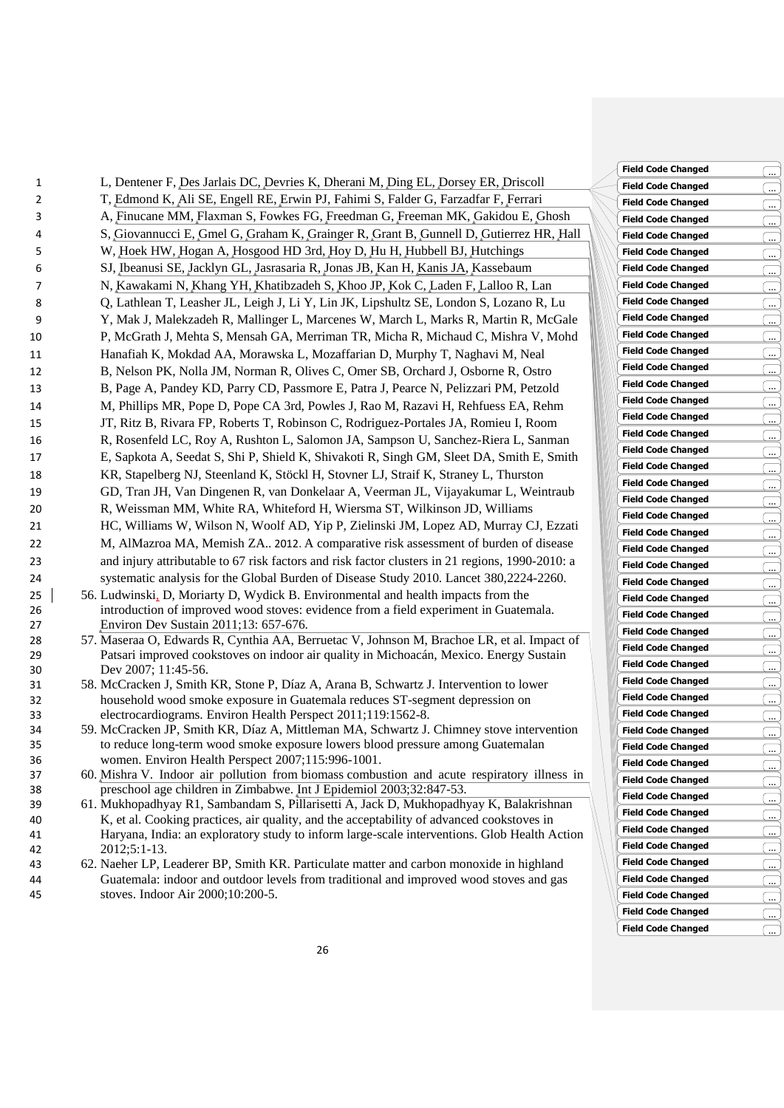| 1        | L, Dentener F, Des Jarlais DC, Devries K, Dherani M, Ding EL, Dorsey ER, Driscoll                                                                             |
|----------|---------------------------------------------------------------------------------------------------------------------------------------------------------------|
| 2        | T, Edmond K, Ali SE, Engell RE, Erwin PJ, Fahimi S, Falder G, Farzadfar F, Ferrari                                                                            |
| 3        | A, Finucane MM, Flaxman S, Fowkes FG, Freedman G, Freeman MK, Gakidou E, Ghosh                                                                                |
| 4        | S, Giovannucci E, Gmel G, Graham K, Grainger R, Grant B, Gunnell D, Gutierrez HR, Hall                                                                        |
| 5        | W, Hoek HW, Hogan A, Hosgood HD 3rd, Hoy D, Hu H, Hubbell BJ, Hutchings                                                                                       |
| 6        | SJ, Ibeanusi SE, Jacklyn GL, Jasrasaria R, Jonas JB, Kan H, Kanis JA, Kassebaum                                                                               |
| 7        | N, Kawakami N, Khang YH, Khatibzadeh S, Khoo JP, Kok C, Laden F, Lalloo R, Lan                                                                                |
| 8        | Q, Lathlean T, Leasher JL, Leigh J, Li Y, Lin JK, Lipshultz SE, London S, Lozano R, Lu                                                                        |
| 9        | Y, Mak J, Malekzadeh R, Mallinger L, Marcenes W, March L, Marks R, Martin R, McGale                                                                           |
| 10       | P, McGrath J, Mehta S, Mensah GA, Merriman TR, Micha R, Michaud C, Mishra V, Mohd                                                                             |
| 11       | Hanafiah K, Mokdad AA, Morawska L, Mozaffarian D, Murphy T, Naghavi M, Neal                                                                                   |
| 12       | B, Nelson PK, Nolla JM, Norman R, Olives C, Omer SB, Orchard J, Osborne R, Ostro                                                                              |
| 13       | B, Page A, Pandey KD, Parry CD, Passmore E, Patra J, Pearce N, Pelizzari PM, Petzold                                                                          |
| 14       | M, Phillips MR, Pope D, Pope CA 3rd, Powles J, Rao M, Razavi H, Rehfuess EA, Rehm                                                                             |
| 15       | JT, Ritz B, Rivara FP, Roberts T, Robinson C, Rodriguez-Portales JA, Romieu I, Room                                                                           |
| 16       | R, Rosenfeld LC, Roy A, Rushton L, Salomon JA, Sampson U, Sanchez-Riera L, Sanman                                                                             |
| 17       | E, Sapkota A, Seedat S, Shi P, Shield K, Shivakoti R, Singh GM, Sleet DA, Smith E, Smith                                                                      |
| 18       | KR, Stapelberg NJ, Steenland K, Stöckl H, Stovner LJ, Straif K, Straney L, Thurston                                                                           |
| 19       | GD, Tran JH, Van Dingenen R, van Donkelaar A, Veerman JL, Vijayakumar L, Weintraub                                                                            |
| 20       | R, Weissman MM, White RA, Whiteford H, Wiersma ST, Wilkinson JD, Williams                                                                                     |
| 21       | HC, Williams W, Wilson N, Woolf AD, Yip P, Zielinski JM, Lopez AD, Murray CJ, Ezzati                                                                          |
| 22       | M, AlMazroa MA, Memish ZA 2012. A comparative risk assessment of burden of disease                                                                            |
| 23       | and injury attributable to 67 risk factors and risk factor clusters in 21 regions, 1990-2010: a                                                               |
| 24       | systematic analysis for the Global Burden of Disease Study 2010. Lancet 380,2224-2260.                                                                        |
| 25       | 56. Ludwinski, D, Moriarty D, Wydick B. Environmental and health impacts from the                                                                             |
| 26       | introduction of improved wood stoves: evidence from a field experiment in Guatemala.                                                                          |
| 27       | Environ Dev Sustain 2011;13: 657-676.                                                                                                                         |
| 28       | 57. Maseraa O, Edwards R, Cynthia AA, Berruetac V, Johnson M, Brachoe LR, et al. Impact of                                                                    |
| 29       | Patsari improved cookstoves on indoor air quality in Michoacán, Mexico. Energy Sustain<br>Dev 2007; 11:45-56.                                                 |
| 30<br>31 | 58. McCracken J, Smith KR, Stone P, Díaz A, Arana B, Schwartz J. Intervention to lower                                                                        |
| 32       | household wood smoke exposure in Guatemala reduces ST-segment depression on                                                                                   |
| 33       | electrocardiograms. Environ Health Perspect 2011;119:1562-8.                                                                                                  |
| 34       | 59. McCracken JP, Smith KR, Díaz A, Mittleman MA, Schwartz J. Chimney stove intervention                                                                      |
| 35       | to reduce long-term wood smoke exposure lowers blood pressure among Guatemalan                                                                                |
| 36       | women. Environ Health Perspect 2007;115:996-1001.                                                                                                             |
| 37       | 60. Mishra V. Indoor air pollution from biomass combustion and acute respiratory illness in                                                                   |
| 38<br>39 | preschool age children in Zimbabwe. Int J Epidemiol 2003;32:847-53.<br>61. Mukhopadhyay R1, Sambandam S, Pillarisetti A, Jack D, Mukhopadhyay K, Balakrishnan |
| 40       | K, et al. Cooking practices, air quality, and the acceptability of advanced cookstoves in                                                                     |
| 41       | Haryana, India: an exploratory study to inform large-scale interventions. Glob Health Action                                                                  |
| 42       | $2012:5:1-13$                                                                                                                                                 |

43 62. Naeher LP, Leaderer BP, Smith KR. Particulate matter and carbon monoxide in highland 44 Guatemala: indoor and outdoor levels from traditional and improved wood stoves and gas 45 stoves. Indoor Air 2000;10:200-5.

**Field Code Changed** ... **Field Code Changed** ... **Field Code Changed** ... **Field Code Changed** ... **Field Code Changed** ... **Field Code Changed** ... **Field Code Changed** ... Field Code Changed<br>
Field Code Changed **Field Code Changed** ... **Field Code Changed** ... **Field Code Changed** ... **Field Code Changed** ... **Field Code Changed** ... **Field Code Changed** ... **Field Code Changed Code Field Code Changed** ... **Field Code Changed** ... **Field Code Changed** ... **Field Code Changed** ... **Field Code Changed** ... **Field Code Changed** ... **Field Code Changed** ... **Field Code Changed** ... **Field Code Changed** ... **Field Code Changed** ... **Field Code Changed** ... **Field Code Changed** .... **Field Code Changed** ... **Field Code Changed** ... **Field Code Changed** ... **Field Code Changed** ... **Field Code Changed** ... **Field Code Changed** ... **Field Code Changed** ... **Field Code Changed** ... **Field Code Changed**  $\qquad \qquad \overline{\qquad \dots}$ **Field Code Changed** ... **Field Code Changed** ... **Field Code Changed** ... **Field Code Changed** ... **Field Code Changed** ... **Field Code Changed** ... **Field Code Changed Field Code Changed** ... **Field Code Changed** ... **Field Code Changed** ... **Field Code Changed** ...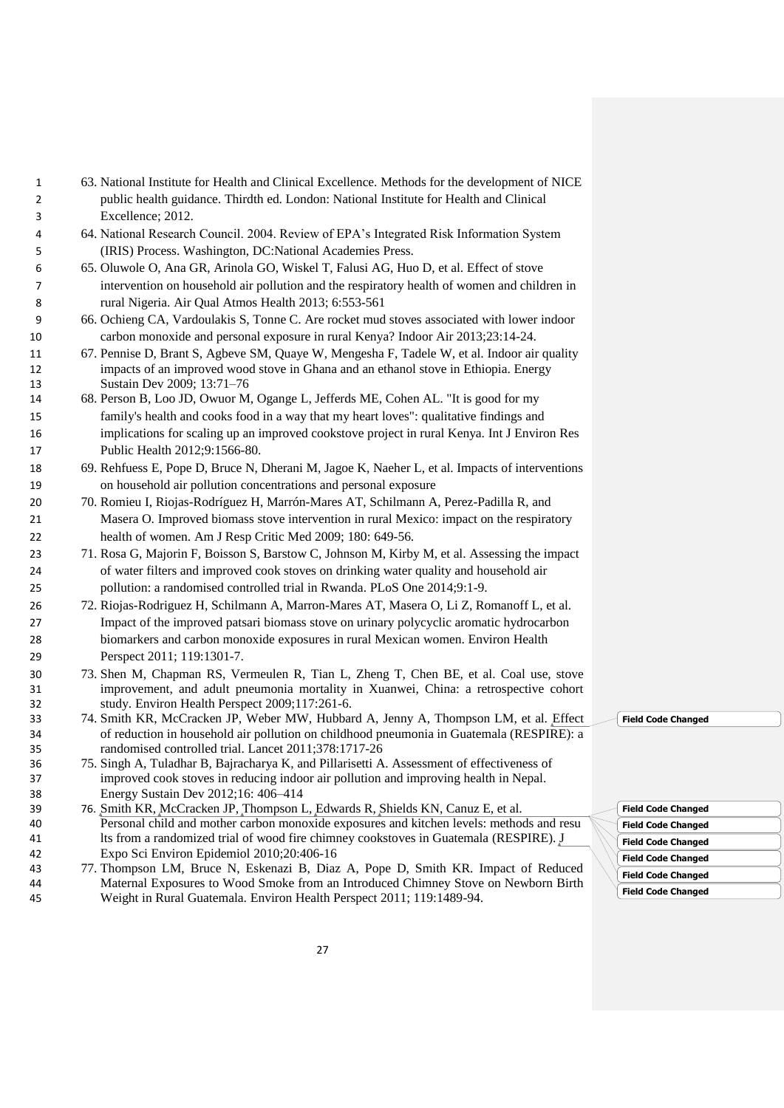- 63. National Institute for Health and Clinical Excellence. Methods for the development of NICE public health guidance. Thirdth ed. London: National Institute for Health and Clinical Excellence; 2012.
- 64. National Research Council. 2004. Review of EPA's Integrated Risk Information System (IRIS) Process. Washington, DC:National Academies Press.
- 65. Oluwole O, Ana GR, Arinola GO, Wiskel T, Falusi AG, Huo D, et al. Effect of stove intervention on household air pollution and the respiratory health of women and children in rural Nigeria. Air Qual Atmos Health 2013; 6:553-561
- 66. Ochieng CA, Vardoulakis S, Tonne C. Are rocket mud stoves associated with lower indoor carbon monoxide and personal exposure in rural Kenya? Indoor Air 2013;23:14-24.
- 67. Pennise D, Brant S, Agbeve SM, Quaye W, Mengesha F, Tadele W, et al. Indoor air quality impacts of an improved wood stove in Ghana and an ethanol stove in Ethiopia. Energy Sustain Dev 2009; 13:71–76
- 68. Person B, Loo JD, Owuor M, Ogange L, Jefferds ME, Cohen AL. "It is good for my family's health and cooks food in a way that my heart loves": qualitative findings and implications for scaling up an improved cookstove project in rural Kenya. Int J Environ Res Public Health 2012;9:1566-80.
- 69. Rehfuess E, Pope D, Bruce N, Dherani M, Jagoe K, Naeher L, et al. Impacts of interventions on household air pollution concentrations and personal exposure
- 70. Romieu I, Riojas-Rodríguez H, Marrón-Mares AT, Schilmann A, Perez-Padilla R, and Masera O. Improved biomass stove intervention in rural Mexico: impact on the respiratory health of women. Am J Resp Critic Med 2009; 180: 649-56.
- 71. Rosa G, Majorin F, Boisson S, Barstow C, Johnson M, Kirby M, et al. Assessing the impact of water filters and improved cook stoves on drinking water quality and household air pollution: a randomised controlled trial in Rwanda. PLoS One 2014;9:1-9.
- 72. Riojas-Rodriguez H, Schilmann A, Marron-Mares AT, Masera O, Li Z, Romanoff L, et al. Impact of the improved patsari biomass stove on urinary polycyclic aromatic hydrocarbon biomarkers and carbon monoxide exposures in rural Mexican women. Environ Health Perspect 2011; 119:1301-7.
- 73. Shen M, Chapman RS, Vermeulen R, Tian L, Zheng T, Chen BE, et al. Coal use, stove improvement, and adult pneumonia mortality in Xuanwei, China: a retrospective cohort study. Environ Health Perspect 2009;117:261-6.
- 74. Smith KR, McCracken JP, Weber MW, Hubbard A, Jenny A, Thompson LM, et al. [Effect](http://www.ncbi.nlm.nih.gov/pubmed/22078686)  [of reduction in household air pollution on childhood pneumonia in Guatemala \(RESPIRE\): a](http://www.ncbi.nlm.nih.gov/pubmed/22078686)  [randomised controlled trial.](http://www.ncbi.nlm.nih.gov/pubmed/22078686) Lancet 2011;378:1717-26
- 75. Singh A, Tuladhar B, Bajracharya K, and Pillarisetti A. Assessment of effectiveness of improved cook stoves in reducing indoor air pollution and improving health in Nepal. Energy Sustain Dev 2012;16: 406–414
- 76. [Smith KR,](http://www.ncbi.nlm.nih.gov/pubmed/?term=Smith%20KR%5BAuthor%5D&cauthor=true&cauthor_uid=19536077) [McCracken JP,](http://www.ncbi.nlm.nih.gov/pubmed/?term=McCracken%20JP%5BAuthor%5D&cauthor=true&cauthor_uid=19536077) [Thompson L,](http://www.ncbi.nlm.nih.gov/pubmed/?term=Thompson%20L%5BAuthor%5D&cauthor=true&cauthor_uid=19536077) [Edwards R,](http://www.ncbi.nlm.nih.gov/pubmed/?term=Edwards%20R%5BAuthor%5D&cauthor=true&cauthor_uid=19536077) [Shields KN,](http://www.ncbi.nlm.nih.gov/pubmed/?term=Shields%20KN%5BAuthor%5D&cauthor=true&cauthor_uid=19536077) [Canuz E,](http://www.ncbi.nlm.nih.gov/pubmed/?term=Canuz%20E%5BAuthor%5D&cauthor=true&cauthor_uid=19536077) et al. Personal child and mother carbon monoxide exposures and kitchen levels: methods and resu lts from a randomized trial of wood fire chimney cookstoves in Guatemala (RESPIRE). [J](http://www.ncbi.nlm.nih.gov/pubmed/?term=Personal+child+and+mother+carbon+monoxide+exposures+and+kitchen+levels%3A+Methods+and+results+from+a+randomized+trial+of+woodfired+chimney+cookstoves+in+Guatemala+(RESPIRE))  [Expo Sci Environ Epidemiol](http://www.ncbi.nlm.nih.gov/pubmed/?term=Personal+child+and+mother+carbon+monoxide+exposures+and+kitchen+levels%3A+Methods+and+results+from+a+randomized+trial+of+woodfired+chimney+cookstoves+in+Guatemala+(RESPIRE)) 2010;20:406-16
- 77. Thompson LM, Bruce N, Eskenazi B, Diaz A, Pope D, Smith KR. Impact of Reduced Maternal Exposures to Wood Smoke from an Introduced Chimney Stove on Newborn Birth Weight in Rural Guatemala. Environ Health Perspect 2011; 119:1489-94.

**Field Code Changed**